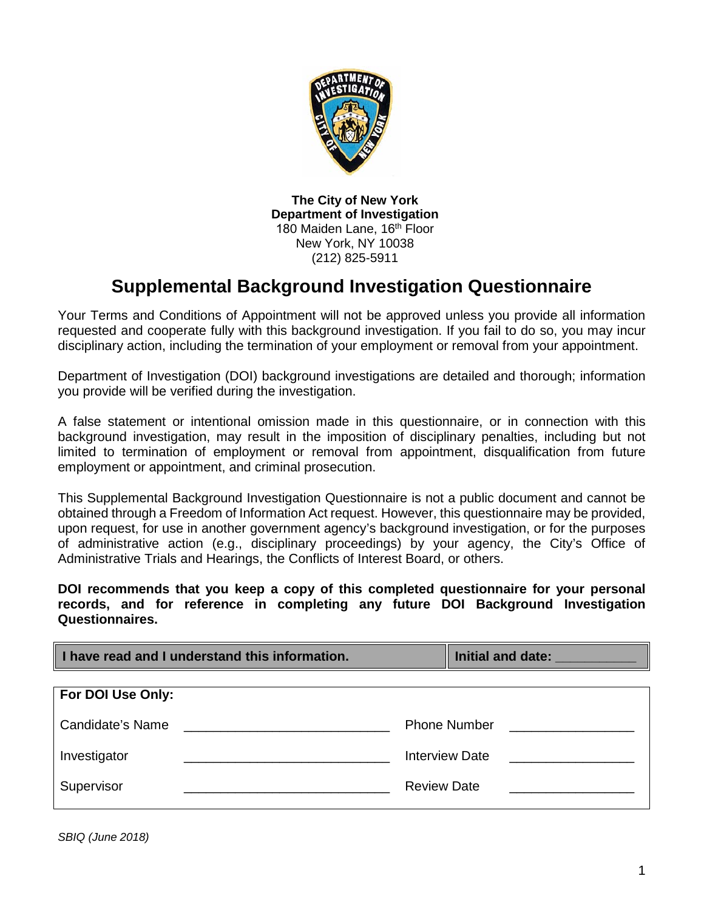

**The City of New York Department of Investigation**  180 Maiden Lane, 16<sup>th</sup> Floor New York, NY 10038 (212) 825-5911

## **Supplemental Background Investigation Questionnaire**

Your Terms and Conditions of Appointment will not be approved unless you provide all information requested and cooperate fully with this background investigation. If you fail to do so, you may incur disciplinary action, including the termination of your employment or removal from your appointment.

Department of Investigation (DOI) background investigations are detailed and thorough; information you provide will be verified during the investigation.

A false statement or intentional omission made in this questionnaire, or in connection with this background investigation, may result in the imposition of disciplinary penalties, including but not limited to termination of employment or removal from appointment, disqualification from future employment or appointment, and criminal prosecution.

This Supplemental Background Investigation Questionnaire is not a public document and cannot be obtained through a Freedom of Information Act request. However, this questionnaire may be provided, upon request, for use in another government agency's background investigation, or for the purposes of administrative action (e.g., disciplinary proceedings) by your agency, the City's Office of Administrative Trials and Hearings, the Conflicts of Interest Board, or others.

**DOI recommends that you keep a copy of this completed questionnaire for your personal records, and for reference in completing any future DOI Background Investigation Questionnaires.** 

| I have read and I understand this information. | Initial and date: ___________ |
|------------------------------------------------|-------------------------------|
| For DOI Use Only:                              |                               |
| Candidate's Name                               | <b>Phone Number</b>           |
| Investigator                                   | <b>Interview Date</b>         |
| Supervisor                                     | <b>Review Date</b>            |

*SBIQ (June 2018)*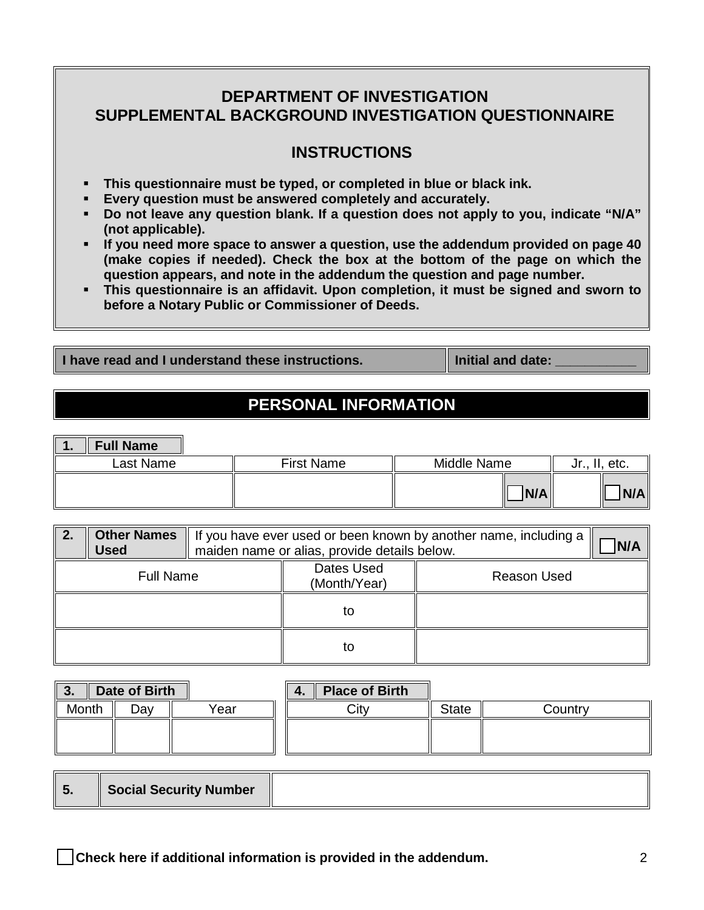### **DEPARTMENT OF INVESTIGATION SUPPLEMENTAL BACKGROUND INVESTIGATION QUESTIONNAIRE**

### **INSTRUCTIONS**

- **This questionnaire must be typed, or completed in blue or black ink.**
- **Every question must be answered completely and accurately.**
- **Do not leave any question blank. If a question does not apply to you, indicate "N/A" (not applicable).**
- **If you need more space to answer a question, use the addendum provided on page 40 (make copies if needed). Check the box at the bottom of the page on which the question appears, and note in the addendum the question and page number.**
- **This questionnaire is an affidavit. Upon completion, it must be signed and sworn to before a Notary Public or Commissioner of Deeds.**

**I have read and I understand these instructions. If**  $\|\text{Initial}$  **and date:** 

### **PERSONAL INFORMATION**

| . . | <b>Full Name</b> |                   |             |     |         |      |
|-----|------------------|-------------------|-------------|-----|---------|------|
|     | Last Name        | <b>First Name</b> | Middle Name |     | . . I U | etc. |
|     |                  |                   |             | N/A |         | N/A  |

| 2. | <b>Other Names</b><br><b>Used</b> | If you have ever used or been known by another name, including a<br>maiden name or alias, provide details below. |                    |  |
|----|-----------------------------------|------------------------------------------------------------------------------------------------------------------|--------------------|--|
|    | <b>Full Name</b>                  | Dates Used<br>(Month/Year)                                                                                       | <b>Reason Used</b> |  |
|    |                                   | to                                                                                                               |                    |  |
|    |                                   | to                                                                                                               |                    |  |

| Date of Birth<br>' 3. |     | <b>Place of Birth</b><br>Ш |      |              |         |
|-----------------------|-----|----------------------------|------|--------------|---------|
| Month                 | יα⊽ | Year                       | Citv | <b>State</b> | Countrv |
|                       |     |                            |      |              |         |
|                       |     |                            |      |              |         |

| v. | Social Security Number |  |
|----|------------------------|--|
|----|------------------------|--|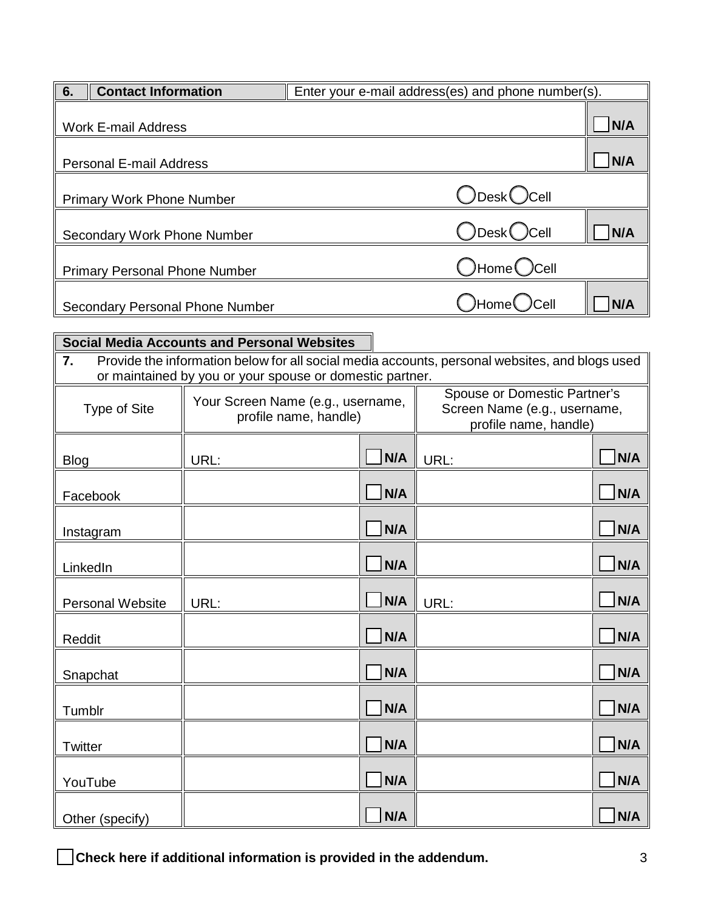| 6. | <b>Contact Information</b>             | Enter your e-mail address(es) and phone number(s). |     |
|----|----------------------------------------|----------------------------------------------------|-----|
|    | <b>Work E-mail Address</b>             |                                                    | N/A |
|    | <b>Personal E-mail Address</b>         |                                                    | N/A |
|    | <b>Primary Work Phone Number</b>       | $\bigcirc$ Desk $\bigcirc$ Cell                    |     |
|    | Secondary Work Phone Number            | $\bigcirc$ Desk $\bigcirc$ Cell                    | N/A |
|    | <b>Primary Personal Phone Number</b>   | $\bigcirc$ Home $\bigcirc$ Cell                    |     |
|    | <b>Secondary Personal Phone Number</b> | $\bigcirc$ Home $\bigcirc$ Cell                    | N/A |

|                         | Social Media Accounts and Personal Websites                                                    |     |                              |     |
|-------------------------|------------------------------------------------------------------------------------------------|-----|------------------------------|-----|
| 7.                      | Provide the information below for all social media accounts, personal websites, and blogs used |     |                              |     |
|                         | or maintained by you or your spouse or domestic partner.                                       |     |                              |     |
|                         | Your Screen Name (e.g., username,                                                              |     | Spouse or Domestic Partner's |     |
| Type of Site            | profile name, handle)                                                                          |     | Screen Name (e.g., username, |     |
|                         |                                                                                                |     | profile name, handle)        |     |
| <b>Blog</b>             | URL:                                                                                           | N/A | URL:                         | N/A |
| Facebook                |                                                                                                | N/A |                              | N/A |
|                         |                                                                                                |     |                              |     |
| Instagram               |                                                                                                | N/A |                              | N/A |
|                         |                                                                                                |     |                              |     |
| LinkedIn                |                                                                                                | N/A |                              | N/A |
|                         |                                                                                                |     |                              |     |
| <b>Personal Website</b> | URL:                                                                                           | N/A | URL:                         | N/A |
|                         |                                                                                                |     |                              |     |
| Reddit                  |                                                                                                | N/A |                              | N/A |
| Snapchat                |                                                                                                | N/A |                              | N/A |
|                         |                                                                                                |     |                              |     |
| Tumblr                  |                                                                                                | N/A |                              | N/A |
| Twitter                 |                                                                                                | N/A |                              | N/A |
|                         |                                                                                                |     |                              |     |
| YouTube                 |                                                                                                | N/A |                              | N/A |
| Other (specify)         |                                                                                                | N/A |                              | N/A |
|                         |                                                                                                |     |                              |     |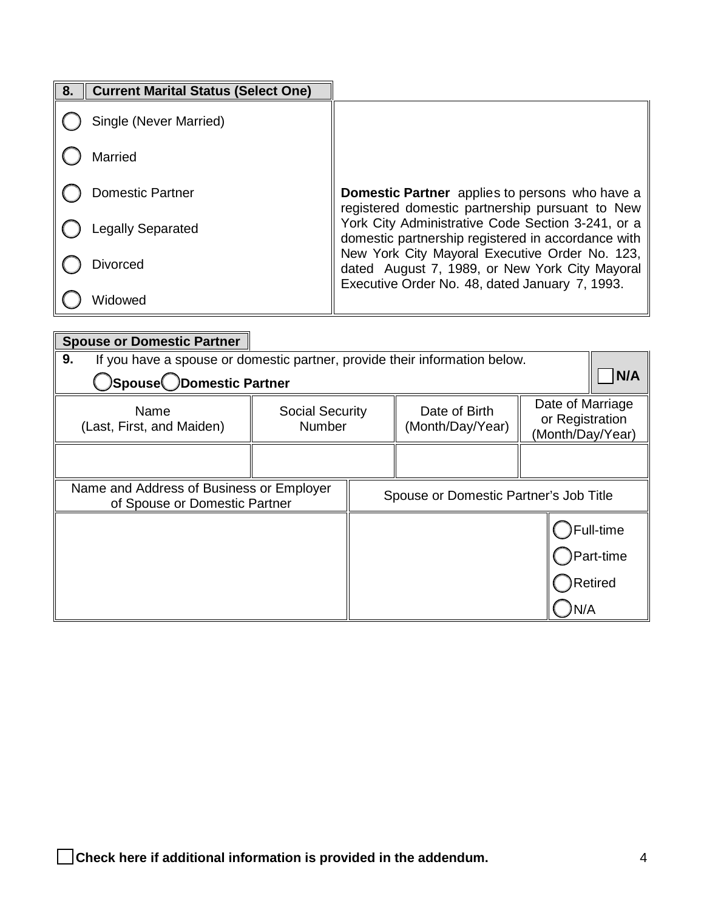| 8. | <b>Current Marital Status (Select One)</b> |                                                                                                          |
|----|--------------------------------------------|----------------------------------------------------------------------------------------------------------|
|    | Single (Never Married)                     |                                                                                                          |
|    | Married                                    |                                                                                                          |
|    | <b>Domestic Partner</b>                    | <b>Domestic Partner</b> applies to persons who have a<br>registered domestic partnership pursuant to New |
|    | <b>Legally Separated</b>                   | York City Administrative Code Section 3-241, or a<br>domestic partnership registered in accordance with  |
|    | <b>Divorced</b>                            | New York City Mayoral Executive Order No. 123,<br>dated August 7, 1989, or New York City Mayoral         |
|    | Widowed                                    | Executive Order No. 48, dated January 7, 1993.                                                           |

| <b>Spouse or Domestic Partner</b>                                                |                                         |                                        |                                                         |                |
|----------------------------------------------------------------------------------|-----------------------------------------|----------------------------------------|---------------------------------------------------------|----------------|
| 9.<br>If you have a spouse or domestic partner, provide their information below. |                                         |                                        |                                                         |                |
| <b>Spouse</b> CDomestic Partner(                                                 |                                         |                                        |                                                         | N/A            |
| Name<br>(Last, First, and Maiden)                                                | <b>Social Security</b><br><b>Number</b> | Date of Birth<br>(Month/Day/Year)      | Date of Marriage<br>or Registration<br>(Month/Day/Year) |                |
|                                                                                  |                                         |                                        |                                                         |                |
| Name and Address of Business or Employer<br>of Spouse or Domestic Partner        |                                         | Spouse or Domestic Partner's Job Title |                                                         |                |
|                                                                                  |                                         |                                        |                                                         | Full-time(     |
|                                                                                  |                                         |                                        |                                                         | Part-time      |
|                                                                                  |                                         |                                        |                                                         | <b>Retired</b> |
|                                                                                  |                                         |                                        | N/A                                                     |                |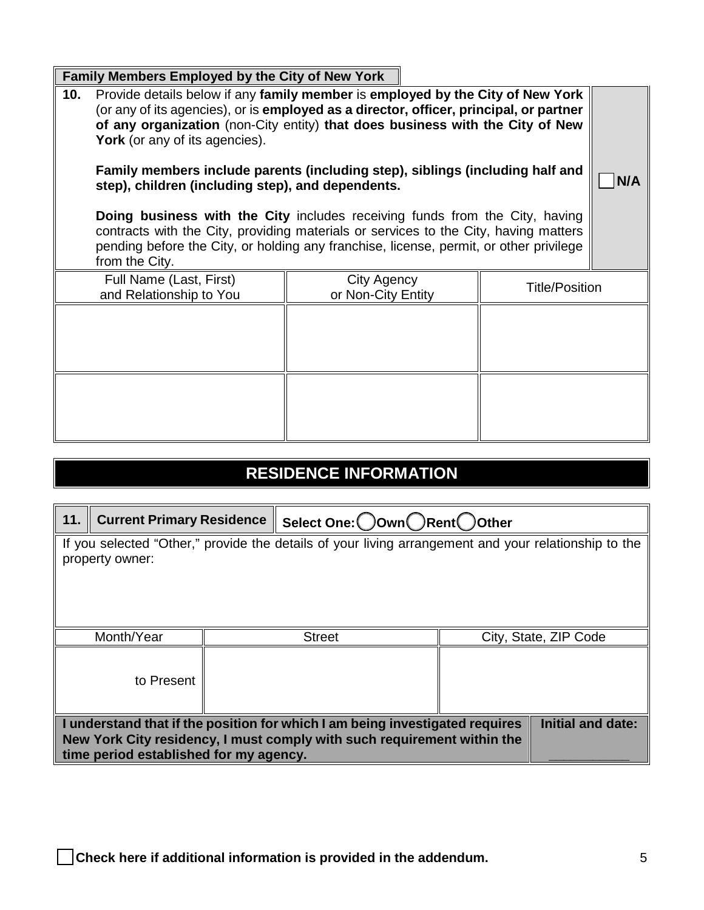|     | <b>Family Members Employed by the City of New York</b>                                                                                                                                                                                                                                                           |                                                                                                                                                                                                                                                           |                       |     |
|-----|------------------------------------------------------------------------------------------------------------------------------------------------------------------------------------------------------------------------------------------------------------------------------------------------------------------|-----------------------------------------------------------------------------------------------------------------------------------------------------------------------------------------------------------------------------------------------------------|-----------------------|-----|
| 10. | <b>York</b> (or any of its agencies).                                                                                                                                                                                                                                                                            | Provide details below if any family member is employed by the City of New York<br>(or any of its agencies), or is employed as a director, officer, principal, or partner<br>of any organization (non-City entity) that does business with the City of New |                       |     |
|     | Family members include parents (including step), siblings (including half and<br>step), children (including step), and dependents.<br><b>Doing business with the City includes receiving funds from the City, having</b><br>contracts with the City, providing materials or services to the City, having matters |                                                                                                                                                                                                                                                           |                       | N/A |
|     | from the City.                                                                                                                                                                                                                                                                                                   | pending before the City, or holding any franchise, license, permit, or other privilege                                                                                                                                                                    |                       |     |
|     | Full Name (Last, First)<br>and Relationship to You                                                                                                                                                                                                                                                               | City Agency<br>or Non-City Entity                                                                                                                                                                                                                         | <b>Title/Position</b> |     |
|     |                                                                                                                                                                                                                                                                                                                  |                                                                                                                                                                                                                                                           |                       |     |
|     |                                                                                                                                                                                                                                                                                                                  |                                                                                                                                                                                                                                                           |                       |     |

# **RESIDENCE INFORMATION**

| 11.                                                                                                                     | <b>Current Primary Residence</b>                                                                                                                                                                                              |  | Select One: ◯ Own ◯ Rent ◯ Other |  |                       |
|-------------------------------------------------------------------------------------------------------------------------|-------------------------------------------------------------------------------------------------------------------------------------------------------------------------------------------------------------------------------|--|----------------------------------|--|-----------------------|
| If you selected "Other," provide the details of your living arrangement and your relationship to the<br>property owner: |                                                                                                                                                                                                                               |  |                                  |  |                       |
|                                                                                                                         | Month/Year                                                                                                                                                                                                                    |  | <b>Street</b>                    |  | City, State, ZIP Code |
|                                                                                                                         | to Present                                                                                                                                                                                                                    |  |                                  |  |                       |
|                                                                                                                         | <b>Initial and date:</b><br>I understand that if the position for which I am being investigated requires<br>New York City residency, I must comply with such requirement within the<br>time period established for my agency. |  |                                  |  |                       |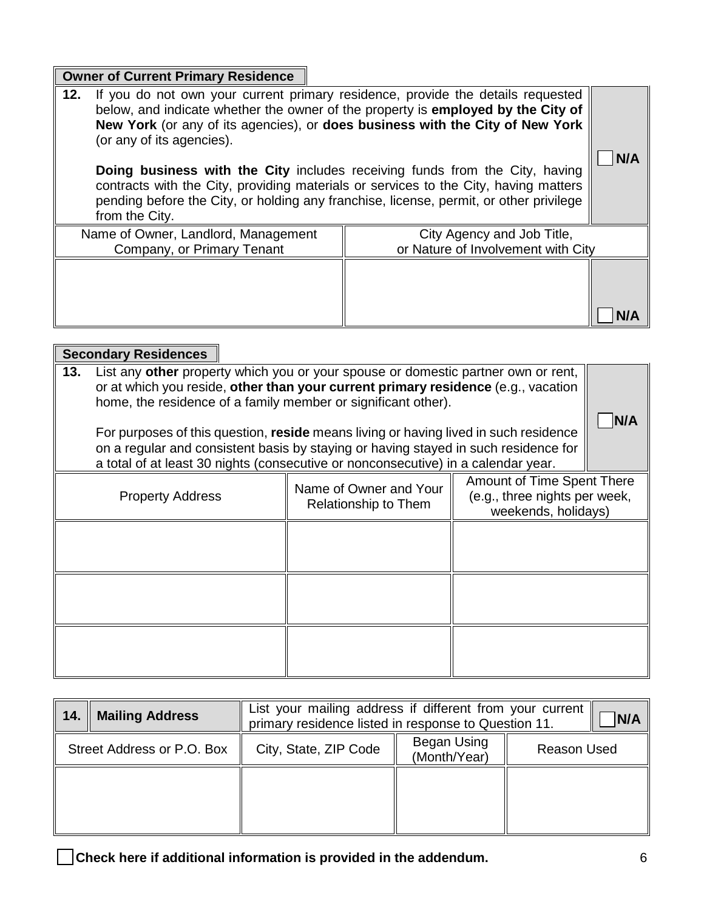| <b>Owner of Current Primary Residence</b>                                                                                                                                                                                                                                                                                                                                                                                                                                                                                                                                   |                                                                  |  |
|-----------------------------------------------------------------------------------------------------------------------------------------------------------------------------------------------------------------------------------------------------------------------------------------------------------------------------------------------------------------------------------------------------------------------------------------------------------------------------------------------------------------------------------------------------------------------------|------------------------------------------------------------------|--|
| If you do not own your current primary residence, provide the details requested<br>12.<br>below, and indicate whether the owner of the property is employed by the City of<br>New York (or any of its agencies), or does business with the City of New York<br>(or any of its agencies).<br>Doing business with the City includes receiving funds from the City, having<br>contracts with the City, providing materials or services to the City, having matters<br>pending before the City, or holding any franchise, license, permit, or other privilege<br>from the City. |                                                                  |  |
| Name of Owner, Landlord, Management<br>Company, or Primary Tenant                                                                                                                                                                                                                                                                                                                                                                                                                                                                                                           | City Agency and Job Title,<br>or Nature of Involvement with City |  |
|                                                                                                                                                                                                                                                                                                                                                                                                                                                                                                                                                                             |                                                                  |  |

|                                                                                                                                                                                                                                                                                                                                                                                                                                                                                                                    | <b>Secondary Residences</b>                                                                                                                                     |  |  |  |     |
|--------------------------------------------------------------------------------------------------------------------------------------------------------------------------------------------------------------------------------------------------------------------------------------------------------------------------------------------------------------------------------------------------------------------------------------------------------------------------------------------------------------------|-----------------------------------------------------------------------------------------------------------------------------------------------------------------|--|--|--|-----|
| List any other property which you or your spouse or domestic partner own or rent,<br>13.<br>or at which you reside, other than your current primary residence (e.g., vacation<br>home, the residence of a family member or significant other).<br>For purposes of this question, reside means living or having lived in such residence<br>on a regular and consistent basis by staying or having stayed in such residence for<br>a total of at least 30 nights (consecutive or nonconsecutive) in a calendar year. |                                                                                                                                                                 |  |  |  | N/A |
|                                                                                                                                                                                                                                                                                                                                                                                                                                                                                                                    | Amount of Time Spent There<br>Name of Owner and Your<br>(e.g., three nights per week,<br><b>Property Address</b><br>Relationship to Them<br>weekends, holidays) |  |  |  |     |
|                                                                                                                                                                                                                                                                                                                                                                                                                                                                                                                    |                                                                                                                                                                 |  |  |  |     |
|                                                                                                                                                                                                                                                                                                                                                                                                                                                                                                                    |                                                                                                                                                                 |  |  |  |     |
|                                                                                                                                                                                                                                                                                                                                                                                                                                                                                                                    |                                                                                                                                                                 |  |  |  |     |

| 14. | <b>Mailing Address</b>     | List your mailing address if different from your current<br>N/A<br>primary residence listed in response to Question 11. |                    |  |  |  |  |
|-----|----------------------------|-------------------------------------------------------------------------------------------------------------------------|--------------------|--|--|--|--|
|     | Street Address or P.O. Box | City, State, ZIP Code                                                                                                   | <b>Reason Used</b> |  |  |  |  |
|     |                            |                                                                                                                         |                    |  |  |  |  |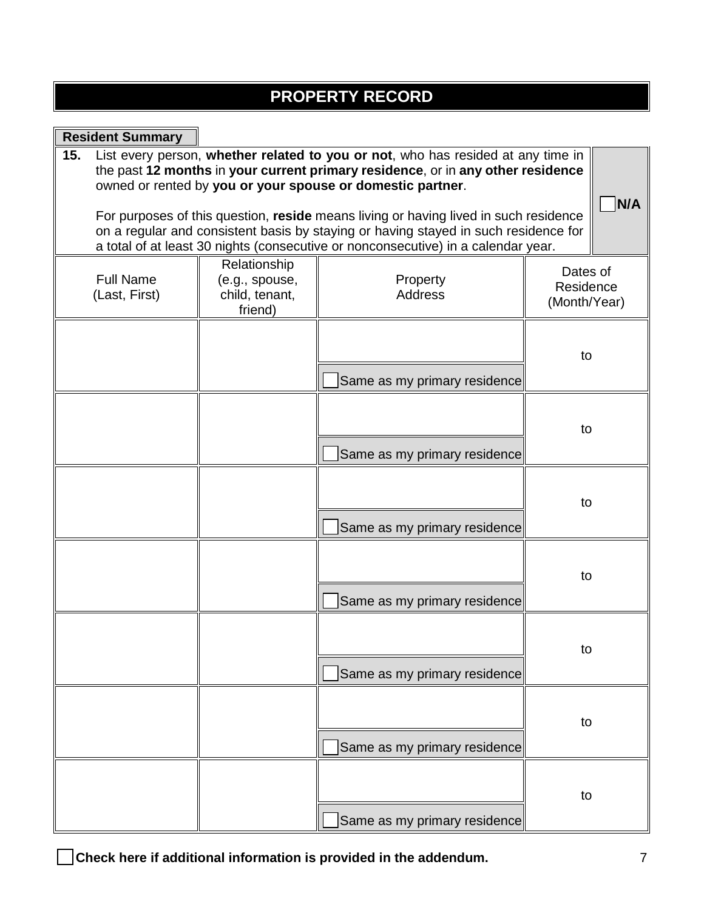# **PROPERTY RECORD**

| <b>Resident Summary</b>                                                                                                                                                                                                                                          |                                                             |                                                                                                                                                                                                                                   |                                       |  |
|------------------------------------------------------------------------------------------------------------------------------------------------------------------------------------------------------------------------------------------------------------------|-------------------------------------------------------------|-----------------------------------------------------------------------------------------------------------------------------------------------------------------------------------------------------------------------------------|---------------------------------------|--|
| 15.                                                                                                                                                                                                                                                              |                                                             | List every person, whether related to you or not, who has resided at any time in<br>the past 12 months in your current primary residence, or in any other residence<br>owned or rented by you or your spouse or domestic partner. | N/A                                   |  |
| For purposes of this question, reside means living or having lived in such residence<br>on a regular and consistent basis by staying or having stayed in such residence for<br>a total of at least 30 nights (consecutive or nonconsecutive) in a calendar year. |                                                             |                                                                                                                                                                                                                                   |                                       |  |
| <b>Full Name</b><br>(Last, First)                                                                                                                                                                                                                                | Relationship<br>(e.g., spouse,<br>child, tenant,<br>friend) | Property<br><b>Address</b>                                                                                                                                                                                                        | Dates of<br>Residence<br>(Month/Year) |  |
|                                                                                                                                                                                                                                                                  |                                                             | Same as my primary residence                                                                                                                                                                                                      | to                                    |  |
|                                                                                                                                                                                                                                                                  |                                                             | Same as my primary residence                                                                                                                                                                                                      | to                                    |  |
|                                                                                                                                                                                                                                                                  |                                                             | Same as my primary residence                                                                                                                                                                                                      | to                                    |  |
|                                                                                                                                                                                                                                                                  |                                                             | Same as my primary residence                                                                                                                                                                                                      | to                                    |  |
|                                                                                                                                                                                                                                                                  |                                                             | Same as my primary residence                                                                                                                                                                                                      | to                                    |  |
|                                                                                                                                                                                                                                                                  |                                                             | Same as my primary residence                                                                                                                                                                                                      | to                                    |  |
|                                                                                                                                                                                                                                                                  |                                                             | Same as my primary residence                                                                                                                                                                                                      | to                                    |  |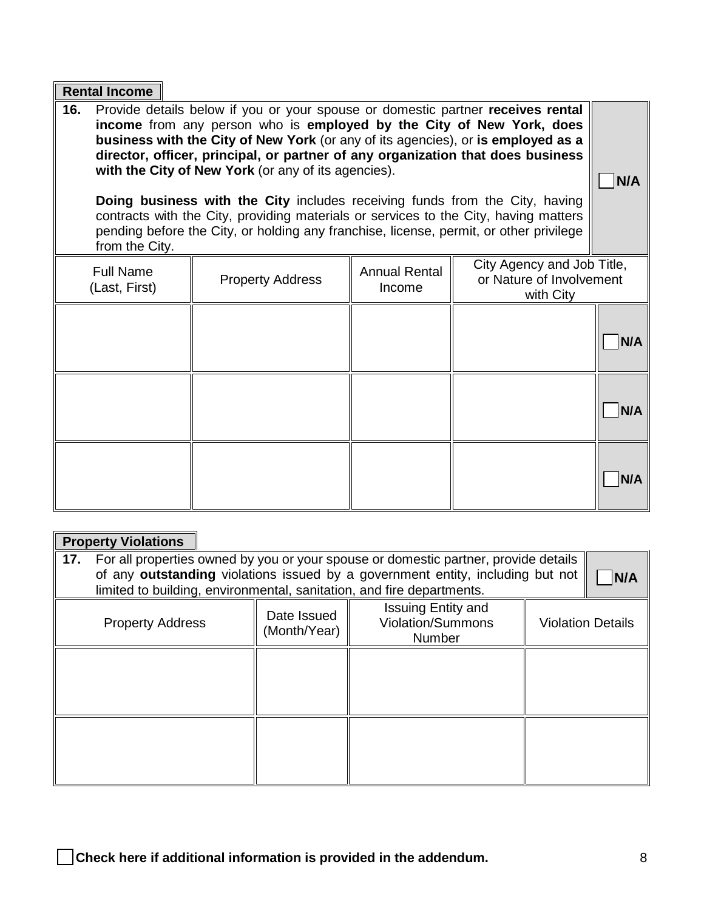|                                                                                                                                                                                                                                                                                                                                                                                                                                                                                                                                                                                                                                                                                        | <b>Rental Income</b>                                                                                                                                                  |  |  |  |     |
|----------------------------------------------------------------------------------------------------------------------------------------------------------------------------------------------------------------------------------------------------------------------------------------------------------------------------------------------------------------------------------------------------------------------------------------------------------------------------------------------------------------------------------------------------------------------------------------------------------------------------------------------------------------------------------------|-----------------------------------------------------------------------------------------------------------------------------------------------------------------------|--|--|--|-----|
| 16.<br>Provide details below if you or your spouse or domestic partner receives rental<br>income from any person who is employed by the City of New York, does<br>business with the City of New York (or any of its agencies), or is employed as a<br>director, officer, principal, or partner of any organization that does business<br>with the City of New York (or any of its agencies).<br><b>Doing business with the City includes receiving funds from the City, having</b><br>contracts with the City, providing materials or services to the City, having matters<br>pending before the City, or holding any franchise, license, permit, or other privilege<br>from the City. |                                                                                                                                                                       |  |  |  |     |
|                                                                                                                                                                                                                                                                                                                                                                                                                                                                                                                                                                                                                                                                                        | City Agency and Job Title,<br><b>Full Name</b><br><b>Annual Rental</b><br>or Nature of Involvement<br><b>Property Address</b><br>(Last, First)<br>Income<br>with City |  |  |  |     |
|                                                                                                                                                                                                                                                                                                                                                                                                                                                                                                                                                                                                                                                                                        |                                                                                                                                                                       |  |  |  | N/A |
|                                                                                                                                                                                                                                                                                                                                                                                                                                                                                                                                                                                                                                                                                        |                                                                                                                                                                       |  |  |  | N/A |
|                                                                                                                                                                                                                                                                                                                                                                                                                                                                                                                                                                                                                                                                                        |                                                                                                                                                                       |  |  |  | N/A |

## **Property Violations**

| 17.<br>For all properties owned by you or your spouse or domestic partner, provide details<br>of any outstanding violations issued by a government entity, including but not<br>limited to building, environmental, sanitation, and fire departments. |                             |                                                                 |                          |  |  |
|-------------------------------------------------------------------------------------------------------------------------------------------------------------------------------------------------------------------------------------------------------|-----------------------------|-----------------------------------------------------------------|--------------------------|--|--|
| <b>Property Address</b>                                                                                                                                                                                                                               | Date Issued<br>(Month/Year) | <b>Issuing Entity and</b><br><b>Violation/Summons</b><br>Number | <b>Violation Details</b> |  |  |
|                                                                                                                                                                                                                                                       |                             |                                                                 |                          |  |  |
|                                                                                                                                                                                                                                                       |                             |                                                                 |                          |  |  |
|                                                                                                                                                                                                                                                       |                             |                                                                 |                          |  |  |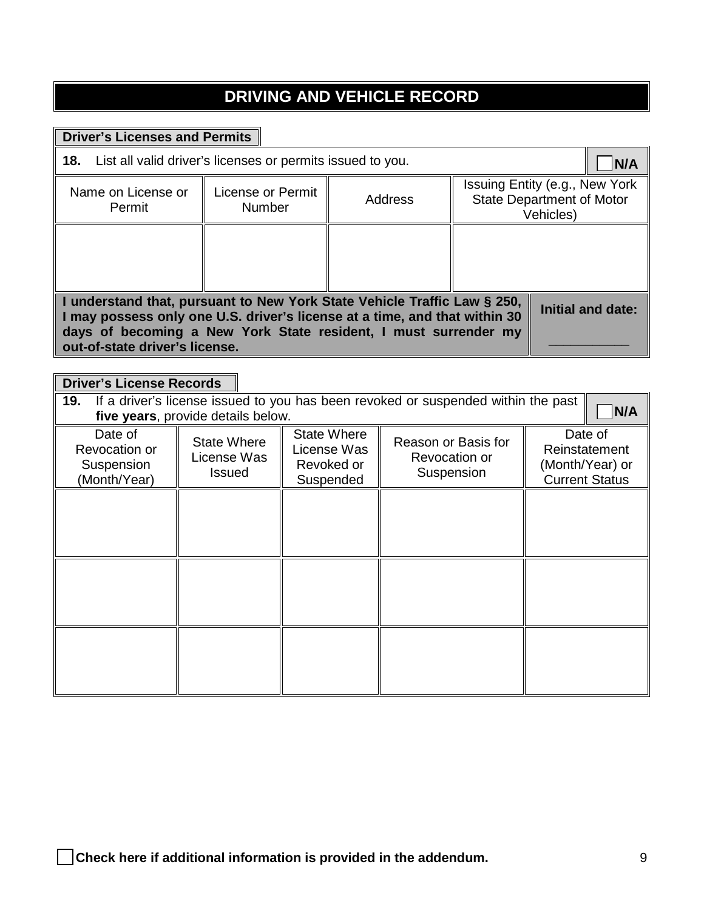# **DRIVING AND VEHICLE RECORD**

### **Driver's Licenses and Permits**

| <b>18.</b> List all valid driver's licenses or permits issued to you.                                                                                                                                                                                       |                                                                                 |  |  |  |  |
|-------------------------------------------------------------------------------------------------------------------------------------------------------------------------------------------------------------------------------------------------------------|---------------------------------------------------------------------------------|--|--|--|--|
| Name on License or<br>Permit                                                                                                                                                                                                                                | Issuing Entity (e.g., New York<br><b>State Department of Motor</b><br>Vehicles) |  |  |  |  |
|                                                                                                                                                                                                                                                             |                                                                                 |  |  |  |  |
| I understand that, pursuant to New York State Vehicle Traffic Law § 250,<br>I may possess only one U.S. driver's license at a time, and that within 30<br>days of becoming a New York State resident, I must surrender my<br>out-of-state driver's license. | Initial and date:                                                               |  |  |  |  |

### **Driver's License Records**

| 19.<br>If a driver's license issued to you has been revoked or suspended within the past<br>N/A<br>five years, provide details below. |                                                    |                                                       |                                                    |                                                                      |  |
|---------------------------------------------------------------------------------------------------------------------------------------|----------------------------------------------------|-------------------------------------------------------|----------------------------------------------------|----------------------------------------------------------------------|--|
| Date of<br><b>Revocation or</b><br>Suspension<br>(Month/Year)                                                                         | <b>State Where</b><br>License Was<br><b>Issued</b> | State Where<br>License Was<br>Revoked or<br>Suspended | Reason or Basis for<br>Revocation or<br>Suspension | Date of<br>Reinstatement<br>(Month/Year) or<br><b>Current Status</b> |  |
|                                                                                                                                       |                                                    |                                                       |                                                    |                                                                      |  |
|                                                                                                                                       |                                                    |                                                       |                                                    |                                                                      |  |
|                                                                                                                                       |                                                    |                                                       |                                                    |                                                                      |  |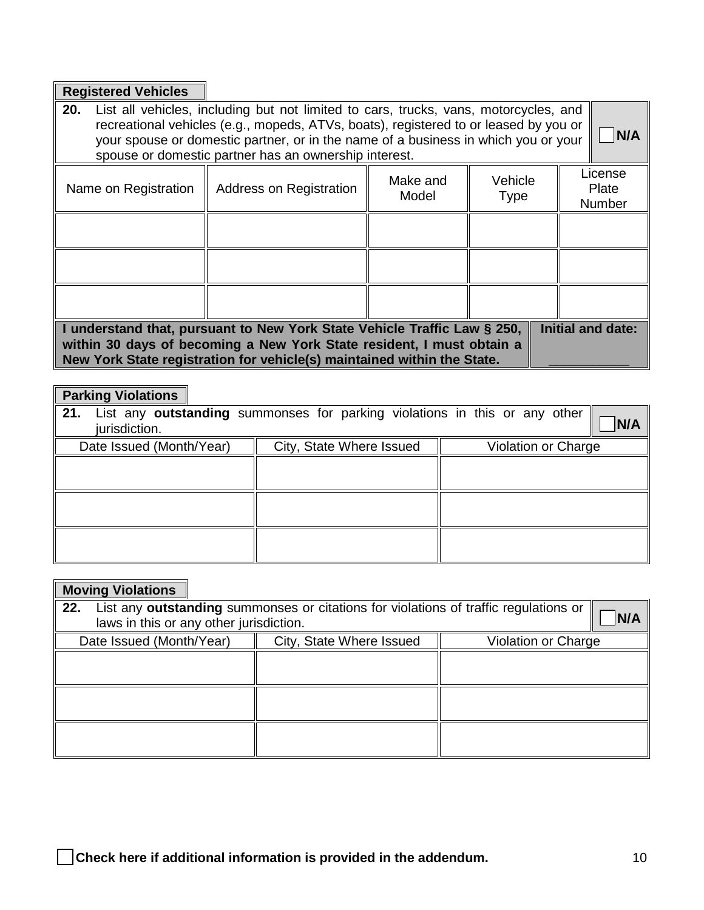## **Registered Vehicles**

| 20.<br>List all vehicles, including but not limited to cars, trucks, vans, motorcycles, and<br>recreational vehicles (e.g., mopeds, ATVs, boats), registered to or leased by you or<br>your spouse or domestic partner, or in the name of a business in which you or your<br>spouse or domestic partner has an ownership interest. |  |  |  |  |  |  |
|------------------------------------------------------------------------------------------------------------------------------------------------------------------------------------------------------------------------------------------------------------------------------------------------------------------------------------|--|--|--|--|--|--|
| License<br>Make and<br>Vehicle<br>Address on Registration<br>Name on Registration<br>Plate<br>Model<br><b>Type</b><br><b>Number</b>                                                                                                                                                                                                |  |  |  |  |  |  |
|                                                                                                                                                                                                                                                                                                                                    |  |  |  |  |  |  |
|                                                                                                                                                                                                                                                                                                                                    |  |  |  |  |  |  |
|                                                                                                                                                                                                                                                                                                                                    |  |  |  |  |  |  |
| <b>Initial and date:</b><br>I understand that, pursuant to New York State Vehicle Traffic Law § 250,<br>within 30 days of becoming a New York State resident, I must obtain a<br>New York State registration for vehicle(s) maintained within the State.                                                                           |  |  |  |  |  |  |

## **Parking Violations**

| 21.<br>jurisdiction.     | List any outstanding summonses for parking violations in this or any other | <b>N/A</b>          |
|--------------------------|----------------------------------------------------------------------------|---------------------|
| Date Issued (Month/Year) | City, State Where Issued                                                   | Violation or Charge |
|                          |                                                                            |                     |
|                          |                                                                            |                     |
|                          |                                                                            |                     |
|                          |                                                                            |                     |
|                          |                                                                            |                     |
|                          |                                                                            |                     |

| <b>Moving Violations</b>                                                                                                               |                          |                     |  |  |  |
|----------------------------------------------------------------------------------------------------------------------------------------|--------------------------|---------------------|--|--|--|
| List any outstanding summonses or citations for violations of traffic regulations or<br>22.<br>laws in this or any other jurisdiction. |                          |                     |  |  |  |
| Date Issued (Month/Year)                                                                                                               | City, State Where Issued | Violation or Charge |  |  |  |
|                                                                                                                                        |                          |                     |  |  |  |
|                                                                                                                                        |                          |                     |  |  |  |
|                                                                                                                                        |                          |                     |  |  |  |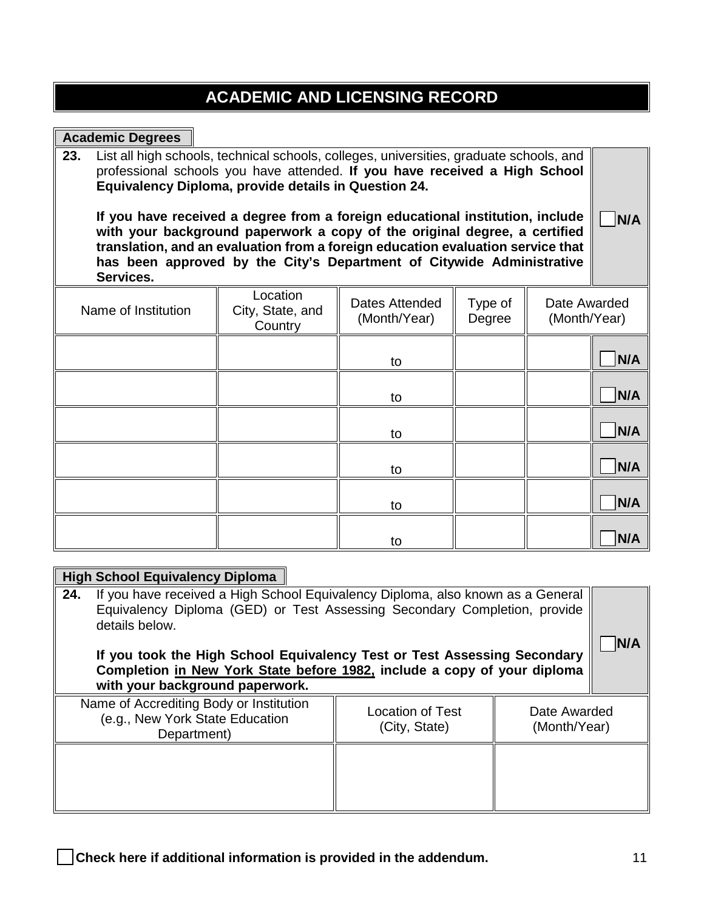## **ACADEMIC AND LICENSING RECORD**

| <b>Academic Degrees</b>                                                                                                                                                                                                                                                                                                                                                                                                                                                                                                                                                     |  |    |  |  |            |
|-----------------------------------------------------------------------------------------------------------------------------------------------------------------------------------------------------------------------------------------------------------------------------------------------------------------------------------------------------------------------------------------------------------------------------------------------------------------------------------------------------------------------------------------------------------------------------|--|----|--|--|------------|
| 23.<br>List all high schools, technical schools, colleges, universities, graduate schools, and<br>professional schools you have attended. If you have received a High School<br>Equivalency Diploma, provide details in Question 24.<br>If you have received a degree from a foreign educational institution, include<br>with your background paperwork a copy of the original degree, a certified<br>translation, and an evaluation from a foreign education evaluation service that<br>has been approved by the City's Department of Citywide Administrative<br>Services. |  |    |  |  |            |
| Location<br>Date Awarded<br>Dates Attended<br>Type of<br>Name of Institution<br>City, State, and<br>(Month/Year)<br>(Month/Year)<br>Degree<br>Country                                                                                                                                                                                                                                                                                                                                                                                                                       |  |    |  |  |            |
|                                                                                                                                                                                                                                                                                                                                                                                                                                                                                                                                                                             |  | to |  |  | N/A        |
|                                                                                                                                                                                                                                                                                                                                                                                                                                                                                                                                                                             |  | to |  |  | N/A        |
|                                                                                                                                                                                                                                                                                                                                                                                                                                                                                                                                                                             |  | to |  |  | <b>N/A</b> |
|                                                                                                                                                                                                                                                                                                                                                                                                                                                                                                                                                                             |  | to |  |  | N/A        |
|                                                                                                                                                                                                                                                                                                                                                                                                                                                                                                                                                                             |  | to |  |  | N/A        |
|                                                                                                                                                                                                                                                                                                                                                                                                                                                                                                                                                                             |  | to |  |  | N/A        |
| <b>High School Equivalency Diploma</b>                                                                                                                                                                                                                                                                                                                                                                                                                                                                                                                                      |  |    |  |  |            |

#### **24.** If you have received a High School Equivalency Diploma, also known as a General Equivalency Diploma (GED) or Test Assessing Secondary Completion, provide details below.

**If you took the High School Equivalency Test or Test Assessing Secondary Completion in New York State before 1982, include a copy of your diploma with your background paperwork.**

| Name of Accrediting Body or Institution<br>(e.g., New York State Education<br>Department) | Location of Test<br>(City, State) | Date Awarded<br>(Month/Year) |
|-------------------------------------------------------------------------------------------|-----------------------------------|------------------------------|
|                                                                                           |                                   |                              |

□ **Check here if additional information is provided in the addendum.** <sup>11</sup>

□ **N/A**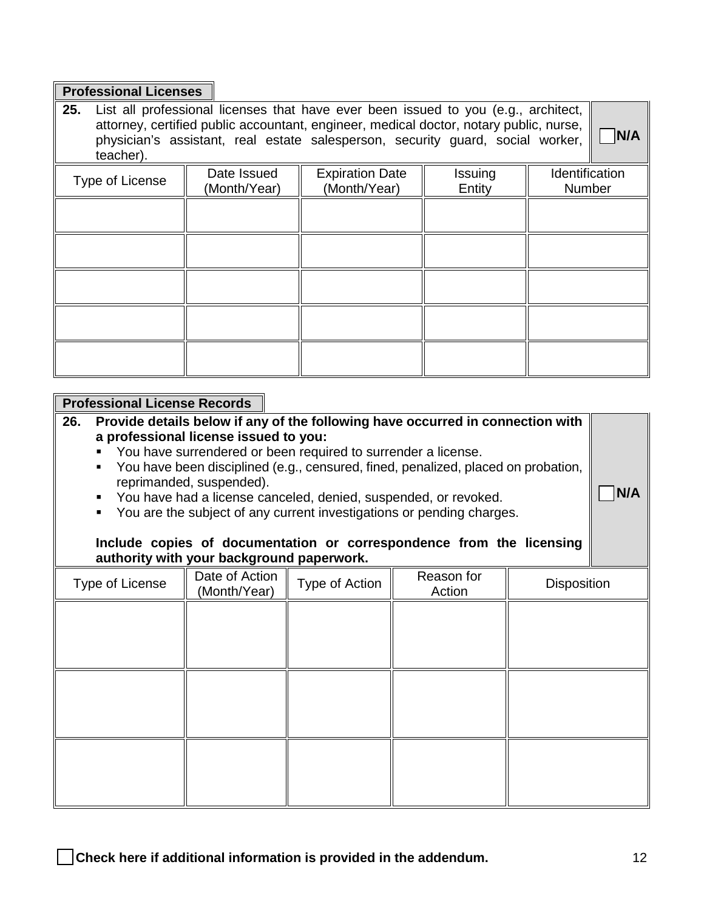#### **Professional Licenses**

**25.** List all professional licenses that have ever been issued to you (e.g., architect,  $\vert$ attorney, certified public accountant, engineer, medical doctor, notary public, nurse, physician's assistant, real estate salesperson, security guard, social worker, □ **N/A**

| <b>N/A</b> |
|------------|
|            |

□ **N/A**

| teacher).       |              |                        |         |                |
|-----------------|--------------|------------------------|---------|----------------|
| Type of License | Date Issued  | <b>Expiration Date</b> | Issuing | Identification |
|                 | (Month/Year) | (Month/Year)           | Entity  | Number         |
|                 |              |                        |         |                |
|                 |              |                        |         |                |
|                 |              |                        |         |                |
|                 |              |                        |         |                |
|                 |              |                        |         |                |
|                 |              |                        |         |                |
|                 |              |                        |         |                |
|                 |              |                        |         |                |
|                 |              |                        |         |                |
|                 |              |                        |         |                |

#### **Professional License Records**

**26. Provide details below if any of the following have occurred in connection with a professional license issued to you:** 

- **You have surrendered or been required to surrender a license.**
- You have been disciplined (e.g., censured, fined, penalized, placed on probation, reprimanded, suspended).
- You have had a license canceled, denied, suspended, or revoked.
- You are the subject of any current investigations or pending charges.

#### **Include copies of documentation or correspondence from the licensing authority with your background paperwork.**

| Type of License | Date of Action<br>(Month/Year) | Type of Action | Reason for<br>Action | Disposition |
|-----------------|--------------------------------|----------------|----------------------|-------------|
|                 |                                |                |                      |             |
|                 |                                |                |                      |             |
|                 |                                |                |                      |             |
|                 |                                |                |                      |             |
|                 |                                |                |                      |             |
|                 |                                |                |                      |             |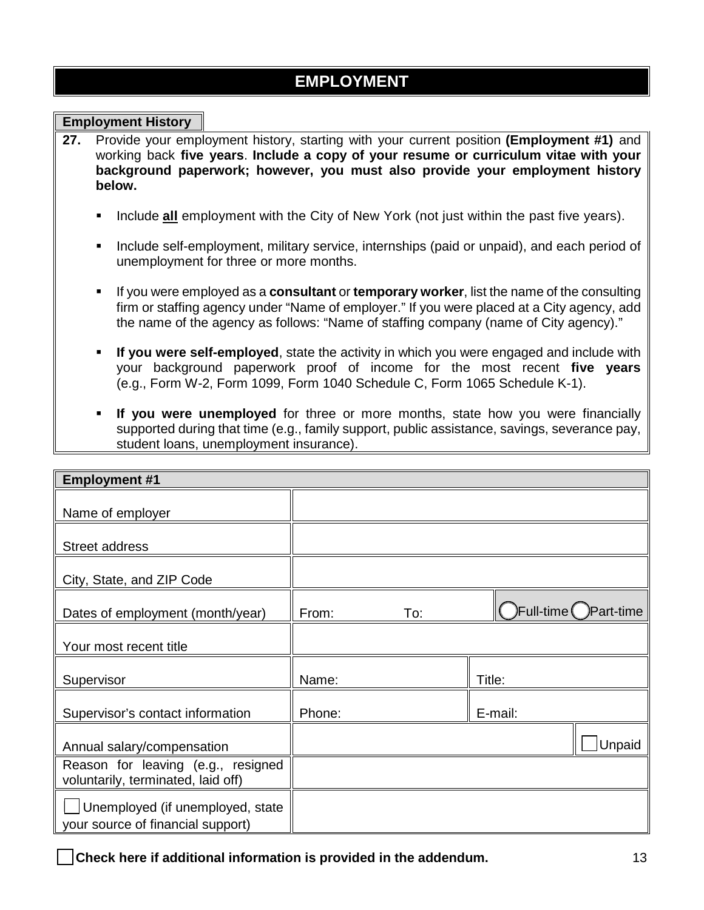### **EMPLOYMENT**

#### **Employment History**

- **27.** Provide your employment history, starting with your current position **(Employment #1)** and working back **five years**. **Include a copy of your resume or curriculum vitae with your background paperwork; however, you must also provide your employment history below.**
	- Include **all** employment with the City of New York (not just within the past five years).
	- **Include self-employment, military service, internships (paid or unpaid), and each period of** unemployment for three or more months.
	- If you were employed as a **consultant** or **temporary worker**, list the name of the consulting firm or staffing agency under "Name of employer." If you were placed at a City agency, add the name of the agency as follows: "Name of staffing company (name of City agency)."
	- **If you were self-employed**, state the activity in which you were engaged and include with your background paperwork proof of income for the most recent **five years**  (e.g., Form W-2, Form 1099, Form 1040 Schedule C, Form 1065 Schedule K-1).
	- **If you were unemployed** for three or more months, state how you were financially supported during that time (e.g., family support, public assistance, savings, severance pay, student loans, unemployment insurance).

| <b>Employment #1</b>                                                     |        |     |         |                       |
|--------------------------------------------------------------------------|--------|-----|---------|-----------------------|
| Name of employer                                                         |        |     |         |                       |
| <b>Street address</b>                                                    |        |     |         |                       |
| City, State, and ZIP Code                                                |        |     |         |                       |
| Dates of employment (month/year)                                         | From:  | To: |         | Full-time (Deart-time |
| Your most recent title                                                   |        |     |         |                       |
| Supervisor                                                               | Name:  |     | Title:  |                       |
| Supervisor's contact information                                         | Phone: |     | E-mail: |                       |
| Annual salary/compensation                                               |        |     |         | Unpaid                |
| Reason for leaving (e.g., resigned<br>voluntarily, terminated, laid off) |        |     |         |                       |
| Unemployed (if unemployed, state<br>your source of financial support)    |        |     |         |                       |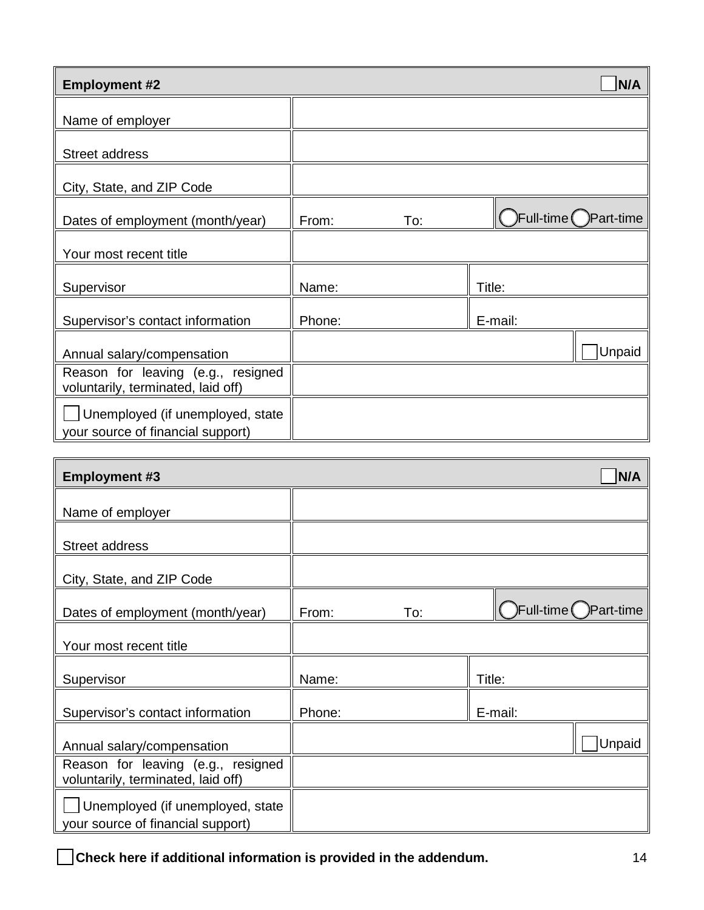| <b>Employment #2</b>                                                     |        |     |         | N/A                   |
|--------------------------------------------------------------------------|--------|-----|---------|-----------------------|
| Name of employer                                                         |        |     |         |                       |
| <b>Street address</b>                                                    |        |     |         |                       |
| City, State, and ZIP Code                                                |        |     |         |                       |
| Dates of employment (month/year)                                         | From:  | To: |         | Full-time (DPart-time |
| Your most recent title                                                   |        |     |         |                       |
| Supervisor                                                               | Name:  |     | Title:  |                       |
| Supervisor's contact information                                         | Phone: |     | E-mail: |                       |
| Annual salary/compensation                                               |        |     |         | Unpaid                |
| Reason for leaving (e.g., resigned<br>voluntarily, terminated, laid off) |        |     |         |                       |
| Unemployed (if unemployed, state<br>your source of financial support)    |        |     |         |                       |

| <b>Employment #3</b>                                                     |        |     |              | N/A        |
|--------------------------------------------------------------------------|--------|-----|--------------|------------|
| Name of employer                                                         |        |     |              |            |
| Street address                                                           |        |     |              |            |
| City, State, and ZIP Code                                                |        |     |              |            |
| Dates of employment (month/year)                                         | From:  | To: | )Full-time ( | )Part-time |
| Your most recent title                                                   |        |     |              |            |
| Supervisor                                                               | Name:  |     | Title:       |            |
| Supervisor's contact information                                         | Phone: |     | E-mail:      |            |
| Annual salary/compensation                                               |        |     |              | Unpaid     |
| Reason for leaving (e.g., resigned<br>voluntarily, terminated, laid off) |        |     |              |            |
| Unemployed (if unemployed, state<br>your source of financial support)    |        |     |              |            |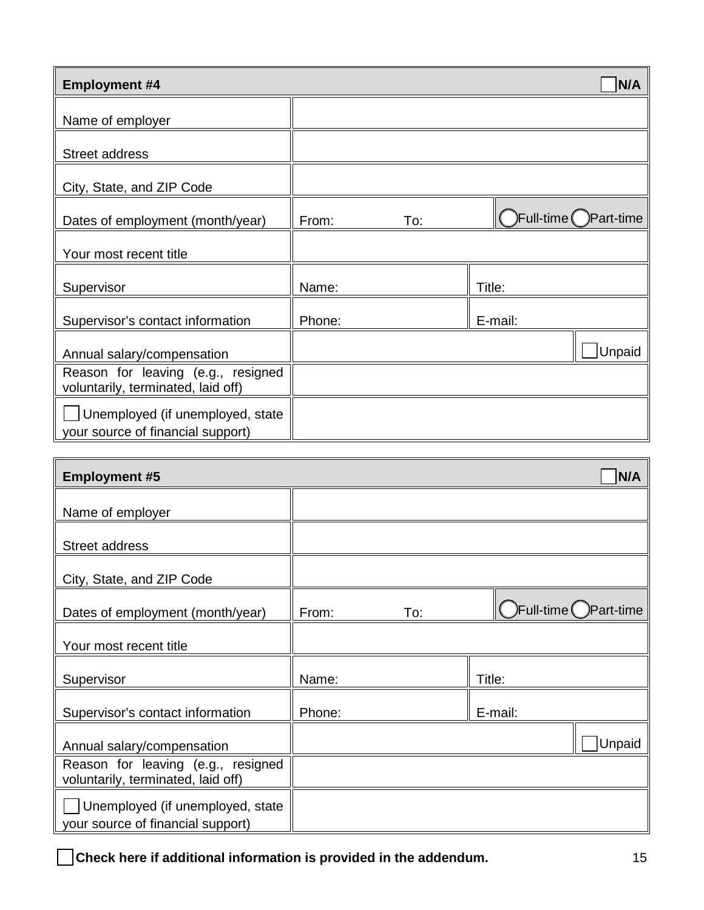| <b>Employment #4</b>                                                     |        |     |         | N/A                   |
|--------------------------------------------------------------------------|--------|-----|---------|-----------------------|
| Name of employer                                                         |        |     |         |                       |
| <b>Street address</b>                                                    |        |     |         |                       |
| City, State, and ZIP Code                                                |        |     |         |                       |
| Dates of employment (month/year)                                         | From:  | To: |         | Full-time (DPart-time |
| Your most recent title                                                   |        |     |         |                       |
| Supervisor                                                               | Name:  |     | Title:  |                       |
| Supervisor's contact information                                         | Phone: |     | E-mail: |                       |
| Annual salary/compensation                                               |        |     |         | Unpaid                |
| Reason for leaving (e.g., resigned<br>voluntarily, terminated, laid off) |        |     |         |                       |
| Unemployed (if unemployed, state<br>your source of financial support)    |        |     |         |                       |

| <b>Employment #5</b>                                                     |        |     |         | N/A                               |
|--------------------------------------------------------------------------|--------|-----|---------|-----------------------------------|
| Name of employer                                                         |        |     |         |                                   |
| Street address                                                           |        |     |         |                                   |
| City, State, and ZIP Code                                                |        |     |         |                                   |
| Dates of employment (month/year)                                         | From:  | To: |         | $F$ ull-time $\bigcirc$ Part-time |
| Your most recent title                                                   |        |     |         |                                   |
| Supervisor                                                               | Name:  |     | Title:  |                                   |
| Supervisor's contact information                                         | Phone: |     | E-mail: |                                   |
| Annual salary/compensation                                               |        |     |         | Unpaid                            |
| Reason for leaving (e.g., resigned<br>voluntarily, terminated, laid off) |        |     |         |                                   |
| Unemployed (if unemployed, state<br>your source of financial support)    |        |     |         |                                   |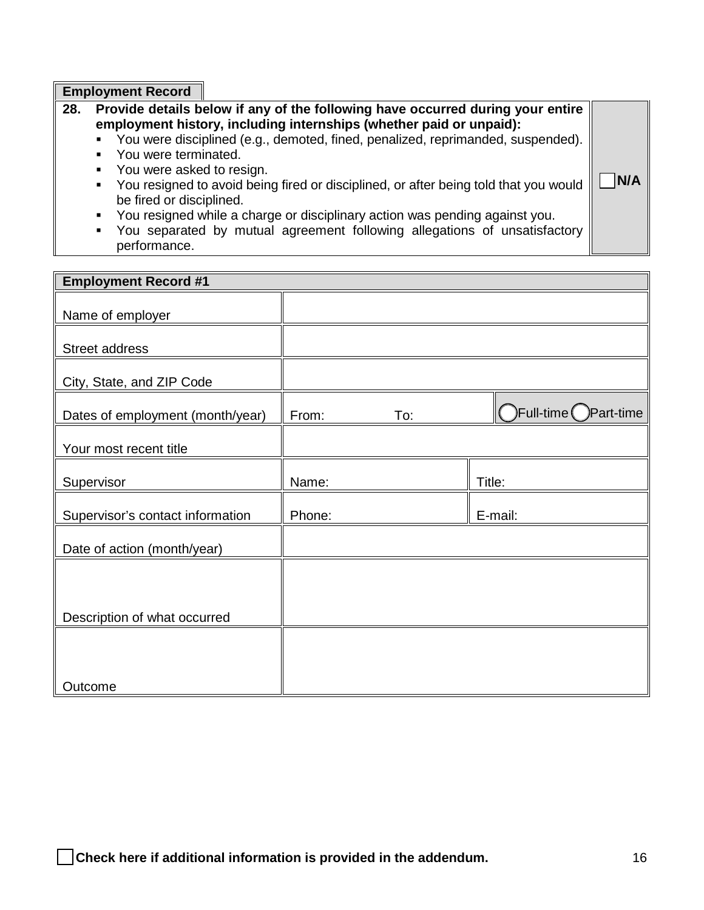**Employment Record**

- **28. Provide details below if any of the following have occurred during your entire employment history, including internships (whether paid or unpaid):**
	- You were disciplined (e.g., demoted, fined, penalized, reprimanded, suspended).
	- You were terminated.
	- You were asked to resign.
	- You resigned to avoid being fired or disciplined, or after being told that you would be fired or disciplined.
	- You resigned while a charge or disciplinary action was pending against you.
	- You separated by mutual agreement following allegations of unsatisfactory performance.

| <b>Employment Record #1</b>      |        |     |                      |
|----------------------------------|--------|-----|----------------------|
| Name of employer                 |        |     |                      |
| Street address                   |        |     |                      |
| City, State, and ZIP Code        |        |     |                      |
| Dates of employment (month/year) | From:  | To: | ◯Full-time Part-time |
| Your most recent title           |        |     |                      |
| Supervisor                       | Name:  |     | Title:               |
| Supervisor's contact information | Phone: |     | E-mail:              |
| Date of action (month/year)      |        |     |                      |
|                                  |        |     |                      |
| Description of what occurred     |        |     |                      |
|                                  |        |     |                      |
| Outcome                          |        |     |                      |

 $\neg$  **N/A**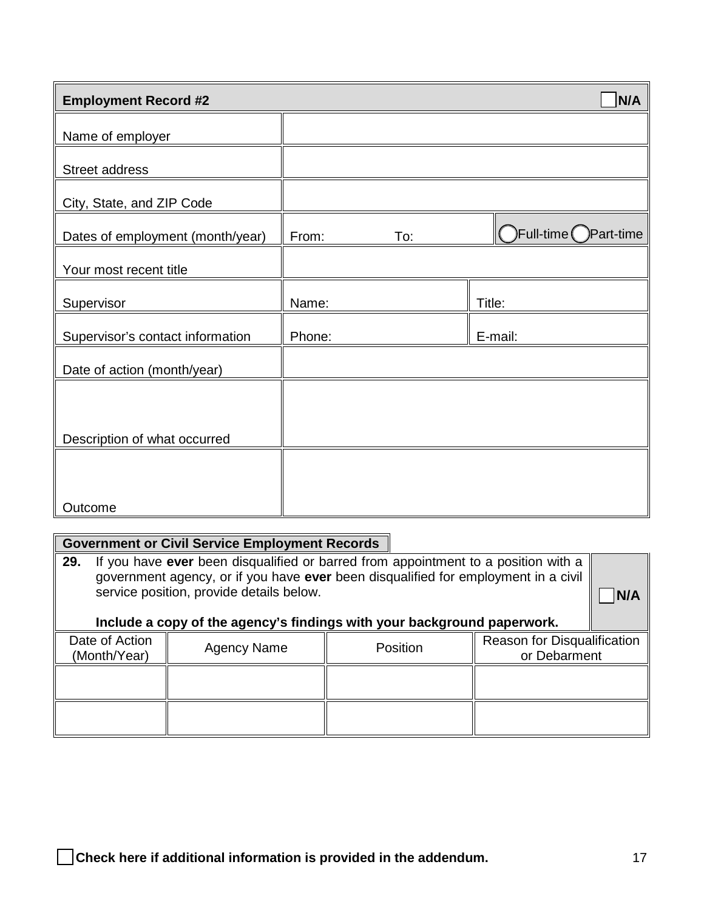| <b>Employment Record #2</b>      |        |     | N/A                               |
|----------------------------------|--------|-----|-----------------------------------|
| Name of employer                 |        |     |                                   |
| Street address                   |        |     |                                   |
| City, State, and ZIP Code        |        |     |                                   |
| Dates of employment (month/year) | From:  | To: | $F$ ull-time $\bigcirc$ Part-time |
| Your most recent title           |        |     |                                   |
| Supervisor                       | Name:  |     | Title:                            |
| Supervisor's contact information | Phone: |     | E-mail:                           |
| Date of action (month/year)      |        |     |                                   |
|                                  |        |     |                                   |
| Description of what occurred     |        |     |                                   |
|                                  |        |     |                                   |
| Outcome                          |        |     |                                   |

# **Government or Civil Service Employment Records**

| 29.            | If you have ever been disqualified or barred from appointment to a position with a<br>government agency, or if you have ever been disqualified for employment in a civil<br>service position, provide details below. |  |  |  |  |
|----------------|----------------------------------------------------------------------------------------------------------------------------------------------------------------------------------------------------------------------|--|--|--|--|
| Date of Action | Include a copy of the agency's findings with your background paperwork.<br>Reason for Disqualification<br><b>Agency Name</b><br>Position                                                                             |  |  |  |  |
| (Month/Year)   | or Debarment                                                                                                                                                                                                         |  |  |  |  |
|                |                                                                                                                                                                                                                      |  |  |  |  |
|                |                                                                                                                                                                                                                      |  |  |  |  |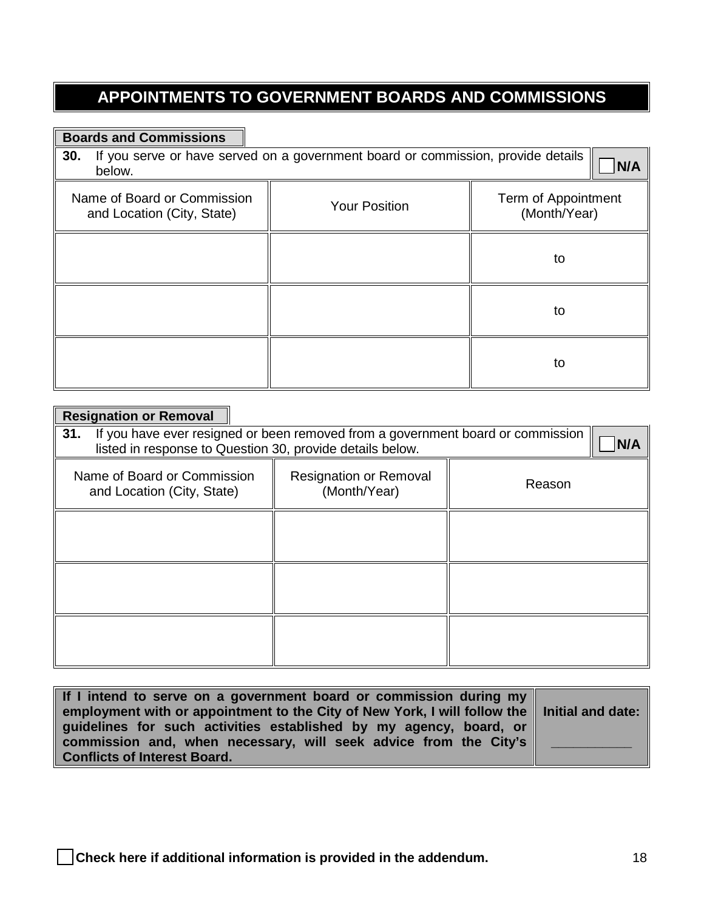## **APPOINTMENTS TO GOVERNMENT BOARDS AND COMMISSIONS**

#### **Boards and Commissions**

| <b>30.</b> If you serve or have served on a government board or commission, provide details $\bigcap_{n=1}^{\infty} N/A$ |  |
|--------------------------------------------------------------------------------------------------------------------------|--|
| below.                                                                                                                   |  |

ヿ

| Name of Board or Commission<br>and Location (City, State) | <b>Your Position</b> | Term of Appointment<br>(Month/Year) |
|-----------------------------------------------------------|----------------------|-------------------------------------|
|                                                           |                      | to                                  |
|                                                           |                      | to                                  |
|                                                           |                      | to                                  |

| <b>Resignation or Removal</b>                                                                                                                       |                                               |        |  |
|-----------------------------------------------------------------------------------------------------------------------------------------------------|-----------------------------------------------|--------|--|
| If you have ever resigned or been removed from a government board or commission<br>31.<br>listed in response to Question 30, provide details below. |                                               |        |  |
| Name of Board or Commission<br>and Location (City, State)                                                                                           | <b>Resignation or Removal</b><br>(Month/Year) | Reason |  |
|                                                                                                                                                     |                                               |        |  |
|                                                                                                                                                     |                                               |        |  |
|                                                                                                                                                     |                                               |        |  |

| If I intend to serve on a government board or commission during my                                      |  |
|---------------------------------------------------------------------------------------------------------|--|
| employment with or appointment to the City of New York, I will follow the $\parallel$ Initial and date: |  |
| guidelines for such activities established by my agency, board, or $\parallel$                          |  |
| commission and, when necessary, will seek advice from the City's                                        |  |
| <b>Conflicts of Interest Board.</b>                                                                     |  |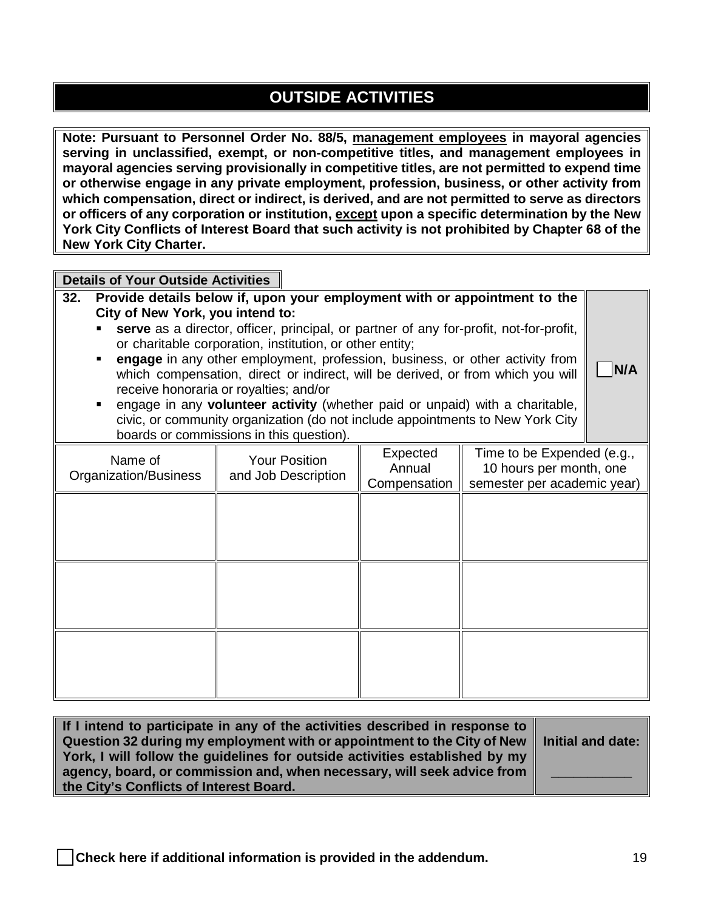## **OUTSIDE ACTIVITIES**

**Note: Pursuant to Personnel Order No. 88/5, management employees in mayoral agencies serving in unclassified, exempt, or non-competitive titles, and management employees in mayoral agencies serving provisionally in competitive titles, are not permitted to expend time or otherwise engage in any private employment, profession, business, or other activity from which compensation, direct or indirect, is derived, and are not permitted to serve as directors or officers of any corporation or institution, except upon a specific determination by the New York City Conflicts of Interest Board that such activity is not prohibited by Chapter 68 of the New York City Charter.**

**Details of Your Outside Activities**

- **32. Provide details below if, upon your employment with or appointment to the City of New York, you intend to: serve** as a director, officer, principal, or partner of any for-profit, not-for-profit, or charitable corporation, institution, or other entity;
	- **engage** in any other employment, profession, business, or other activity from which compensation, direct or indirect, will be derived, or from which you will receive honoraria or royalties; and/or
	- engage in any **volunteer activity** (whether paid or unpaid) with a charitable, civic, or community organization (do not include appointments to New York City boards or commissions in this question).

| Name of<br>Organization/Business | <b>Your Position</b><br>and Job Description | Expected<br>Annual<br>Compensation | Time to be Expended (e.g.,<br>10 hours per month, one<br>semester per academic year) |
|----------------------------------|---------------------------------------------|------------------------------------|--------------------------------------------------------------------------------------|
|                                  |                                             |                                    |                                                                                      |
|                                  |                                             |                                    |                                                                                      |
|                                  |                                             |                                    |                                                                                      |
|                                  |                                             |                                    |                                                                                      |
|                                  |                                             |                                    |                                                                                      |

| If I intend to participate in any of the activities described in response to                |  |
|---------------------------------------------------------------------------------------------|--|
| Question 32 during my employment with or appointment to the City of New   Initial and date: |  |
| York, I will follow the quidelines for outside activities established by my $\parallel$     |  |
| agency, board, or commission and, when necessary, will seek advice from $\parallel$         |  |
| the City's Conflicts of Interest Board.                                                     |  |

□ **N/A**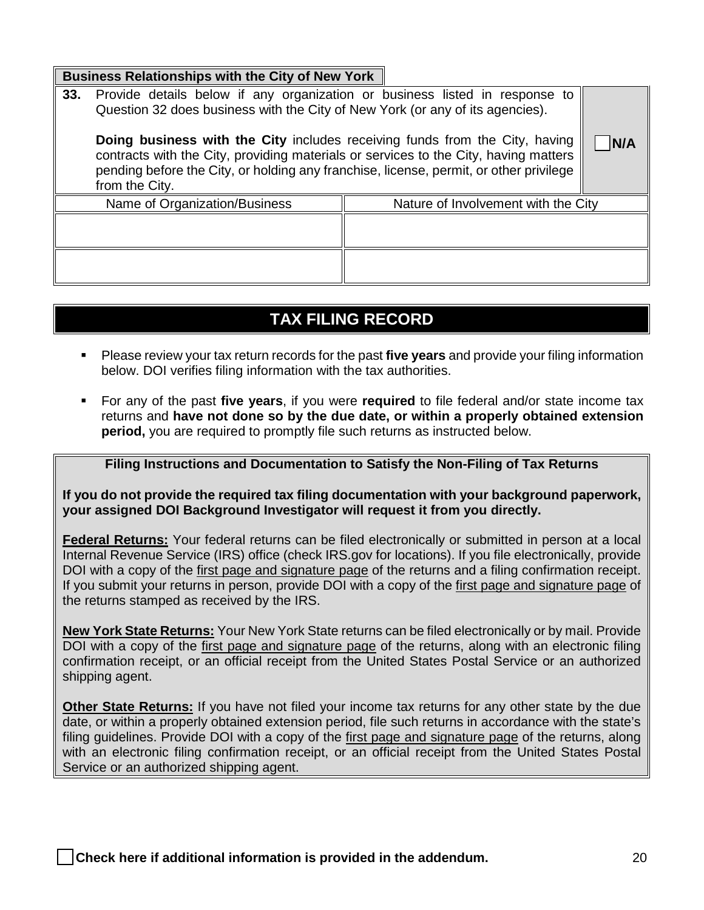| Business Relationships with the City of New York |  |
|--------------------------------------------------|--|
|                                                  |  |

| 33.                                                                                                                                                                                                                                                                             | Provide details below if any organization or business listed in response to<br>Question 32 does business with the City of New York (or any of its agencies). |                                     |     |
|---------------------------------------------------------------------------------------------------------------------------------------------------------------------------------------------------------------------------------------------------------------------------------|--------------------------------------------------------------------------------------------------------------------------------------------------------------|-------------------------------------|-----|
| Doing business with the City includes receiving funds from the City, having<br>contracts with the City, providing materials or services to the City, having matters<br>pending before the City, or holding any franchise, license, permit, or other privilege<br>from the City. |                                                                                                                                                              |                                     | N/A |
|                                                                                                                                                                                                                                                                                 | Name of Organization/Business                                                                                                                                | Nature of Involvement with the City |     |
|                                                                                                                                                                                                                                                                                 |                                                                                                                                                              |                                     |     |
|                                                                                                                                                                                                                                                                                 |                                                                                                                                                              |                                     |     |

### **TAX FILING RECORD**

- Please review your tax return records for the past **five years** and provide your filing information below. DOI verifies filing information with the tax authorities.
- For any of the past **five years**, if you were **required** to file federal and/or state income tax returns and **have not done so by the due date, or within a properly obtained extension period,** you are required to promptly file such returns as instructed below.

#### **Filing Instructions and Documentation to Satisfy the Non-Filing of Tax Returns**

**If you do not provide the required tax filing documentation with your background paperwork, your assigned DOI Background Investigator will request it from you directly.** 

**Federal Returns:** Your federal returns can be filed electronically or submitted in person at a local Internal Revenue Service (IRS) office (check IRS.gov for locations). If you file electronically, provide DOI with a copy of the first page and signature page of the returns and a filing confirmation receipt. If you submit your returns in person, provide DOI with a copy of the first page and signature page of the returns stamped as received by the IRS.

**New York State Returns:** Your New York State returns can be filed electronically or by mail. Provide DOI with a copy of the first page and signature page of the returns, along with an electronic filing confirmation receipt, or an official receipt from the United States Postal Service or an authorized shipping agent.

**Other State Returns:** If you have not filed your income tax returns for any other state by the due date, or within a properly obtained extension period, file such returns in accordance with the state's filing guidelines. Provide DOI with a copy of the first page and signature page of the returns, along with an electronic filing confirmation receipt, or an official receipt from the United States Postal Service or an authorized shipping agent.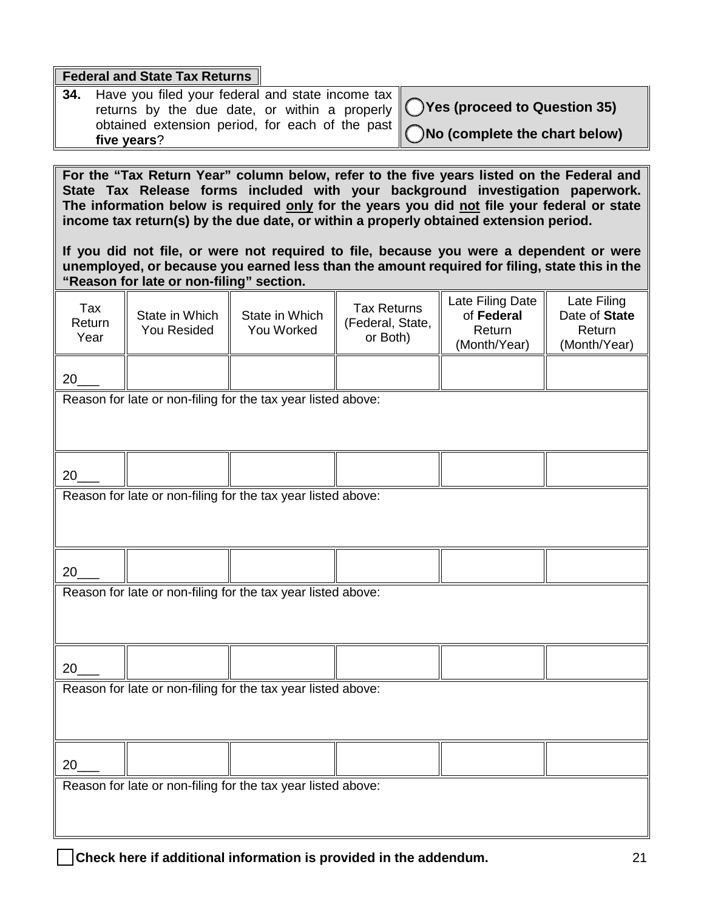|                                                                                                                                                                                                                                                                                                                                                                                                                                                                                                                                                                 | <b>Federal and State Tax Returns</b>                                             |                                                              |                                                    |                                                          |                                                        |  |  |  |
|-----------------------------------------------------------------------------------------------------------------------------------------------------------------------------------------------------------------------------------------------------------------------------------------------------------------------------------------------------------------------------------------------------------------------------------------------------------------------------------------------------------------------------------------------------------------|----------------------------------------------------------------------------------|--------------------------------------------------------------|----------------------------------------------------|----------------------------------------------------------|--------------------------------------------------------|--|--|--|
| 34.<br>Have you filed your federal and state income tax $\parallel$<br>(C) Yes (proceed to Question 35)<br>returns by the due date, or within a properly                                                                                                                                                                                                                                                                                                                                                                                                        |                                                                                  |                                                              |                                                    |                                                          |                                                        |  |  |  |
|                                                                                                                                                                                                                                                                                                                                                                                                                                                                                                                                                                 |                                                                                  | obtained extension period, for each of the past              |                                                    | No (complete the chart below)                            |                                                        |  |  |  |
|                                                                                                                                                                                                                                                                                                                                                                                                                                                                                                                                                                 | five years?                                                                      |                                                              |                                                    |                                                          |                                                        |  |  |  |
| For the "Tax Return Year" column below, refer to the five years listed on the Federal and<br>State Tax Release forms included with your background investigation paperwork.<br>The information below is required only for the years you did not file your federal or state<br>income tax return(s) by the due date, or within a properly obtained extension period.<br>If you did not file, or were not required to file, because you were a dependent or were<br>unemployed, or because you earned less than the amount required for filing, state this in the |                                                                                  |                                                              |                                                    |                                                          |                                                        |  |  |  |
| Tax<br>Return<br>Year                                                                                                                                                                                                                                                                                                                                                                                                                                                                                                                                           | "Reason for late or non-filing" section.<br>State in Which<br><b>You Resided</b> | State in Which<br>You Worked                                 | <b>Tax Returns</b><br>(Federal, State,<br>or Both) | Late Filing Date<br>of Federal<br>Return<br>(Month/Year) | Late Filing<br>Date of State<br>Return<br>(Month/Year) |  |  |  |
| 20                                                                                                                                                                                                                                                                                                                                                                                                                                                                                                                                                              |                                                                                  |                                                              |                                                    |                                                          |                                                        |  |  |  |
|                                                                                                                                                                                                                                                                                                                                                                                                                                                                                                                                                                 |                                                                                  | Reason for late or non-filing for the tax year listed above: |                                                    |                                                          |                                                        |  |  |  |
| 20                                                                                                                                                                                                                                                                                                                                                                                                                                                                                                                                                              |                                                                                  |                                                              |                                                    |                                                          |                                                        |  |  |  |
|                                                                                                                                                                                                                                                                                                                                                                                                                                                                                                                                                                 |                                                                                  | Reason for late or non-filing for the tax year listed above: |                                                    |                                                          |                                                        |  |  |  |
| 20                                                                                                                                                                                                                                                                                                                                                                                                                                                                                                                                                              |                                                                                  |                                                              |                                                    |                                                          |                                                        |  |  |  |
|                                                                                                                                                                                                                                                                                                                                                                                                                                                                                                                                                                 | Reason for late or non-filing for the tax year listed above:                     |                                                              |                                                    |                                                          |                                                        |  |  |  |
| 20                                                                                                                                                                                                                                                                                                                                                                                                                                                                                                                                                              |                                                                                  |                                                              |                                                    |                                                          |                                                        |  |  |  |
| Reason for late or non-filing for the tax year listed above:                                                                                                                                                                                                                                                                                                                                                                                                                                                                                                    |                                                                                  |                                                              |                                                    |                                                          |                                                        |  |  |  |
| 20                                                                                                                                                                                                                                                                                                                                                                                                                                                                                                                                                              |                                                                                  |                                                              |                                                    |                                                          |                                                        |  |  |  |
| Reason for late or non-filing for the tax year listed above:                                                                                                                                                                                                                                                                                                                                                                                                                                                                                                    |                                                                                  |                                                              |                                                    |                                                          |                                                        |  |  |  |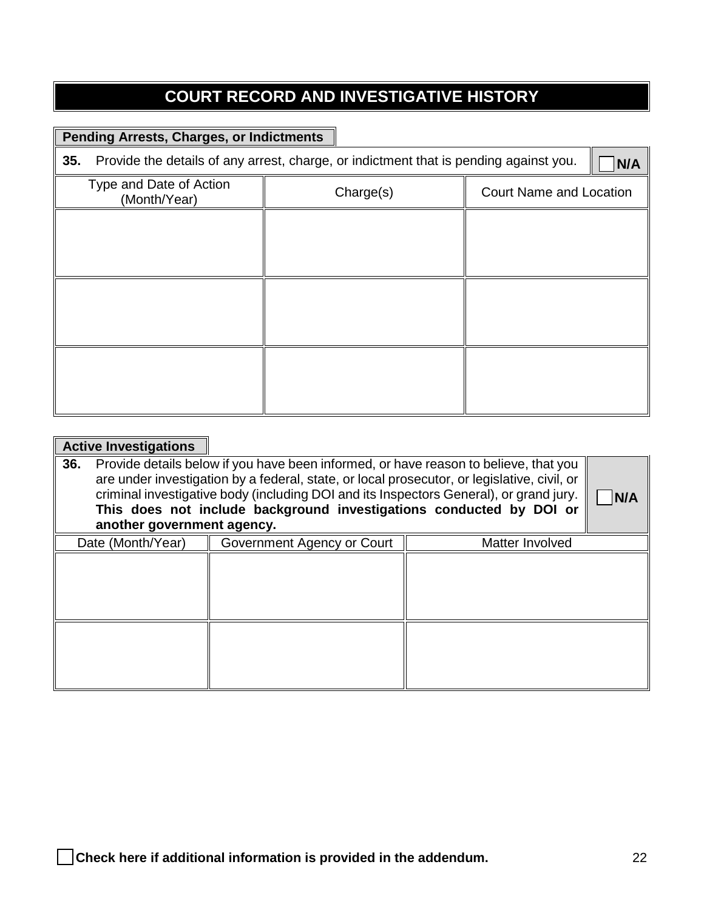# **COURT RECORD AND INVESTIGATIVE HISTORY**

### **Pending Arrests, Charges, or Indictments**

| 35.                                     | Provide the details of any arrest, charge, or indictment that is pending against you. | N/A                            |
|-----------------------------------------|---------------------------------------------------------------------------------------|--------------------------------|
| Type and Date of Action<br>(Month/Year) | Charge(s)                                                                             | <b>Court Name and Location</b> |
|                                         |                                                                                       |                                |
|                                         |                                                                                       |                                |
|                                         |                                                                                       |                                |
|                                         |                                                                                       |                                |
|                                         |                                                                                       |                                |
|                                         |                                                                                       |                                |

| <b>Active Investigations</b>                                                                                                                                                                                                                                                                                                                                                              |                            |                 |  |
|-------------------------------------------------------------------------------------------------------------------------------------------------------------------------------------------------------------------------------------------------------------------------------------------------------------------------------------------------------------------------------------------|----------------------------|-----------------|--|
| 36.<br>Provide details below if you have been informed, or have reason to believe, that you<br>are under investigation by a federal, state, or local prosecutor, or legislative, civil, or<br>criminal investigative body (including DOI and its Inspectors General), or grand jury.<br>This does not include background investigations conducted by DOI or<br>another government agency. |                            |                 |  |
| Date (Month/Year)                                                                                                                                                                                                                                                                                                                                                                         | Government Agency or Court | Matter Involved |  |
|                                                                                                                                                                                                                                                                                                                                                                                           |                            |                 |  |
|                                                                                                                                                                                                                                                                                                                                                                                           |                            |                 |  |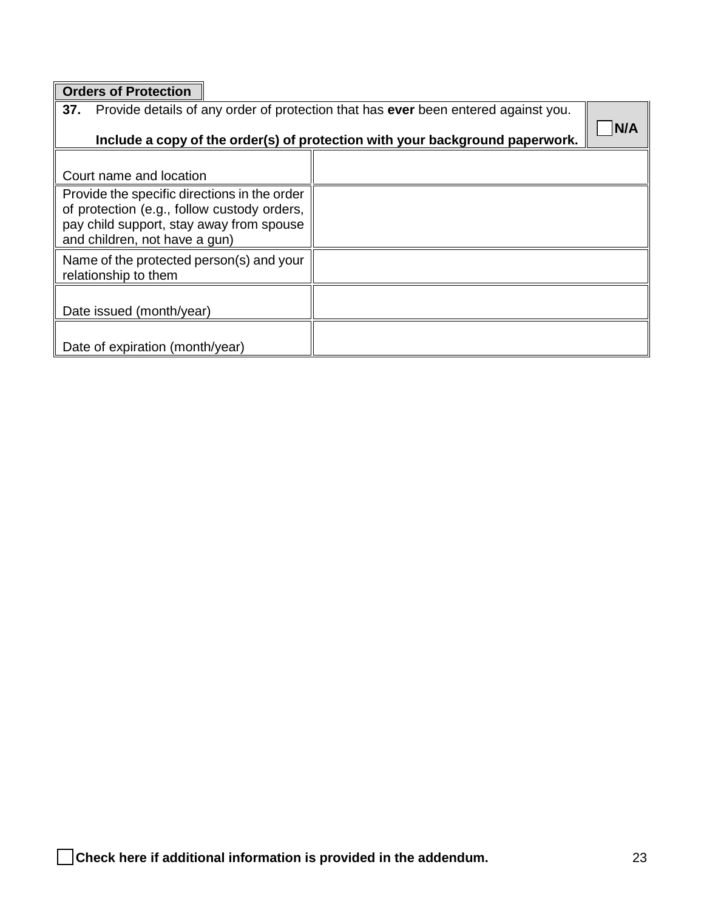**Orders of Protection**

| 37.<br>Provide details of any order of protection that has ever been entered against you.<br>Include a copy of the order(s) of protection with your background paperwork. |  |  |
|---------------------------------------------------------------------------------------------------------------------------------------------------------------------------|--|--|
| Court name and location                                                                                                                                                   |  |  |
| Provide the specific directions in the order<br>of protection (e.g., follow custody orders,<br>pay child support, stay away from spouse<br>and children, not have a gun)  |  |  |
| Name of the protected person(s) and your<br>relationship to them                                                                                                          |  |  |
| Date issued (month/year)                                                                                                                                                  |  |  |
| Date of expiration (month/year)                                                                                                                                           |  |  |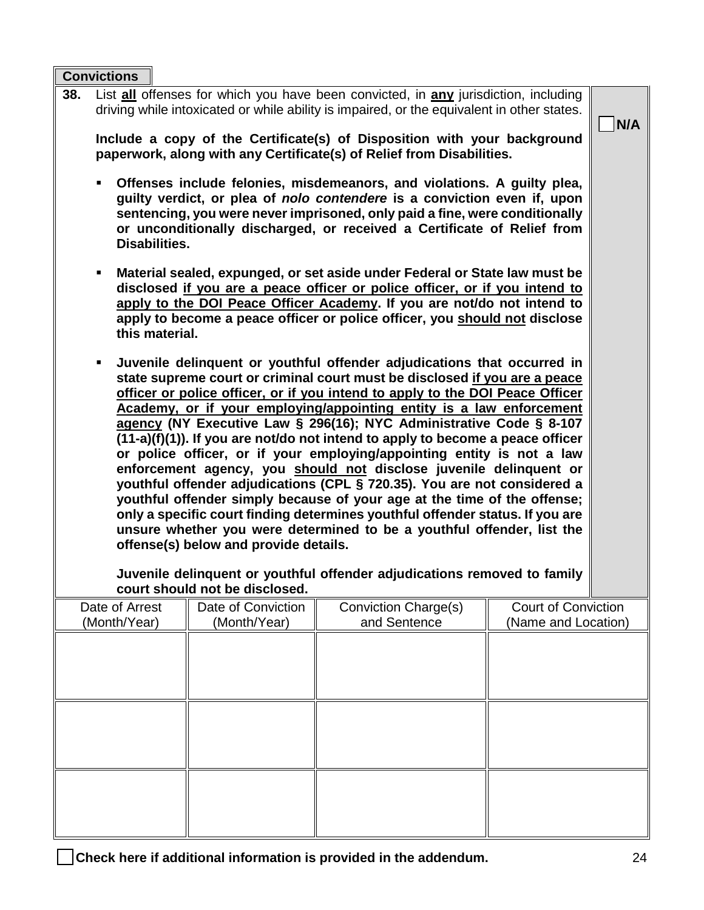**Convictions**

| driving while intoxicated or while ability is impaired, or the equivalent in other states.<br>Include a copy of the Certificate(s) of Disposition with your background<br>paperwork, along with any Certificate(s) of Relief from Disabilities.<br>Offenses include felonies, misdemeanors, and violations. A guilty plea,<br>٠<br>guilty verdict, or plea of nolo contendere is a conviction even if, upon<br>sentencing, you were never imprisoned, only paid a fine, were conditionally<br>or unconditionally discharged, or received a Certificate of Relief from<br><b>Disabilities.</b><br>Material sealed, expunged, or set aside under Federal or State law must be<br>٠<br>disclosed if you are a peace officer or police officer, or if you intend to<br>apply to the DOI Peace Officer Academy. If you are not/do not intend to<br>apply to become a peace officer or police officer, you should not disclose<br>this material.<br>Juvenile delinquent or youthful offender adjudications that occurred in<br>٠<br>state supreme court or criminal court must be disclosed if you are a peace<br>officer or police officer, or if you intend to apply to the DOI Peace Officer<br>Academy, or if your employing/appointing entity is a law enforcement<br>agency (NY Executive Law § 296(16); NYC Administrative Code § 8-107<br>$(11-a)(f)(1)$ ). If you are not/do not intend to apply to become a peace officer<br>or police officer, or if your employing/appointing entity is not a law<br>enforcement agency, you should not disclose juvenile delinquent or<br>youthful offender adjudications (CPL § 720.35). You are not considered a<br>youthful offender simply because of your age at the time of the offense;<br>only a specific court finding determines youthful offender status. If you are<br>unsure whether you were determined to be a youthful offender, list the<br>offense(s) below and provide details. |                                    |                                                                          |                                                   | N/A |
|-------------------------------------------------------------------------------------------------------------------------------------------------------------------------------------------------------------------------------------------------------------------------------------------------------------------------------------------------------------------------------------------------------------------------------------------------------------------------------------------------------------------------------------------------------------------------------------------------------------------------------------------------------------------------------------------------------------------------------------------------------------------------------------------------------------------------------------------------------------------------------------------------------------------------------------------------------------------------------------------------------------------------------------------------------------------------------------------------------------------------------------------------------------------------------------------------------------------------------------------------------------------------------------------------------------------------------------------------------------------------------------------------------------------------------------------------------------------------------------------------------------------------------------------------------------------------------------------------------------------------------------------------------------------------------------------------------------------------------------------------------------------------------------------------------------------------------------------------------------------------------------------------------------------------------------------|------------------------------------|--------------------------------------------------------------------------|---------------------------------------------------|-----|
|                                                                                                                                                                                                                                                                                                                                                                                                                                                                                                                                                                                                                                                                                                                                                                                                                                                                                                                                                                                                                                                                                                                                                                                                                                                                                                                                                                                                                                                                                                                                                                                                                                                                                                                                                                                                                                                                                                                                           | court should not be disclosed.     | Juvenile delinquent or youthful offender adjudications removed to family |                                                   |     |
| Date of Arrest<br>(Month/Year)                                                                                                                                                                                                                                                                                                                                                                                                                                                                                                                                                                                                                                                                                                                                                                                                                                                                                                                                                                                                                                                                                                                                                                                                                                                                                                                                                                                                                                                                                                                                                                                                                                                                                                                                                                                                                                                                                                            | Date of Conviction<br>(Month/Year) | Conviction Charge(s)<br>and Sentence                                     | <b>Court of Conviction</b><br>(Name and Location) |     |
|                                                                                                                                                                                                                                                                                                                                                                                                                                                                                                                                                                                                                                                                                                                                                                                                                                                                                                                                                                                                                                                                                                                                                                                                                                                                                                                                                                                                                                                                                                                                                                                                                                                                                                                                                                                                                                                                                                                                           |                                    |                                                                          |                                                   |     |
|                                                                                                                                                                                                                                                                                                                                                                                                                                                                                                                                                                                                                                                                                                                                                                                                                                                                                                                                                                                                                                                                                                                                                                                                                                                                                                                                                                                                                                                                                                                                                                                                                                                                                                                                                                                                                                                                                                                                           |                                    |                                                                          |                                                   |     |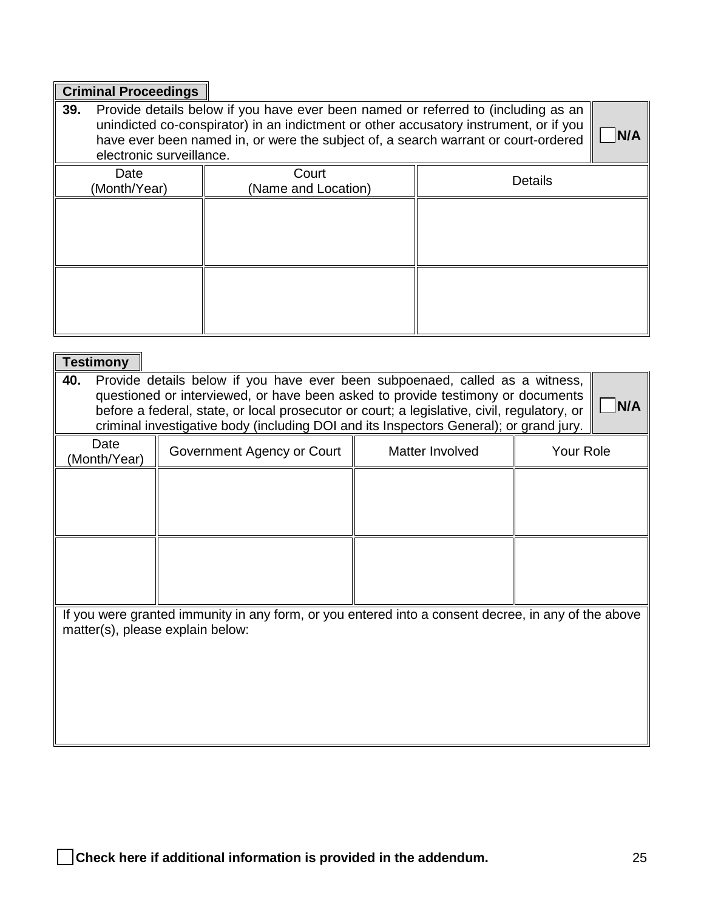### **Criminal Proceedings**

| 39.<br>Provide details below if you have ever been named or referred to (including as an<br>unindicted co-conspirator) in an indictment or other accusatory instrument, or if you<br>have ever been named in, or were the subject of, a search warrant or court-ordered<br>electronic surveillance. |                              |                |  |
|-----------------------------------------------------------------------------------------------------------------------------------------------------------------------------------------------------------------------------------------------------------------------------------------------------|------------------------------|----------------|--|
| Date<br>(Month/Year)                                                                                                                                                                                                                                                                                | Court<br>(Name and Location) | <b>Details</b> |  |
|                                                                                                                                                                                                                                                                                                     |                              |                |  |
|                                                                                                                                                                                                                                                                                                     |                              |                |  |

| <b>Testimony</b>                                                                                                                                                                                                                                                                                                                                                       |                            |                 |           |  |  |  |
|------------------------------------------------------------------------------------------------------------------------------------------------------------------------------------------------------------------------------------------------------------------------------------------------------------------------------------------------------------------------|----------------------------|-----------------|-----------|--|--|--|
| 40.<br>Provide details below if you have ever been subpoenaed, called as a witness,<br>questioned or interviewed, or have been asked to provide testimony or documents<br>N/A<br>before a federal, state, or local prosecutor or court; a legislative, civil, regulatory, or<br>criminal investigative body (including DOI and its Inspectors General); or grand jury. |                            |                 |           |  |  |  |
| Date<br>(Month/Year)                                                                                                                                                                                                                                                                                                                                                   | Government Agency or Court | Matter Involved | Your Role |  |  |  |
|                                                                                                                                                                                                                                                                                                                                                                        |                            |                 |           |  |  |  |
|                                                                                                                                                                                                                                                                                                                                                                        |                            |                 |           |  |  |  |
|                                                                                                                                                                                                                                                                                                                                                                        |                            |                 |           |  |  |  |
|                                                                                                                                                                                                                                                                                                                                                                        |                            |                 |           |  |  |  |
| If you were granted immunity in any form, or you entered into a consent decree, in any of the above<br>matter(s), please explain below:                                                                                                                                                                                                                                |                            |                 |           |  |  |  |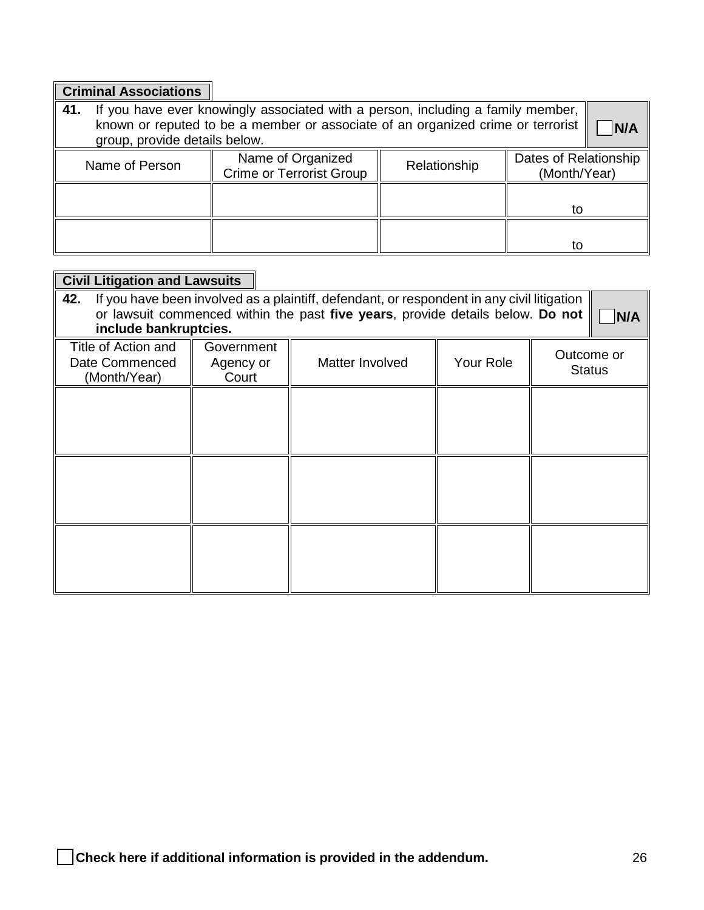| <b>Criminal Associations</b>                                                                                                                                                                                      |                                                      |              |                                       |  |  |  |
|-------------------------------------------------------------------------------------------------------------------------------------------------------------------------------------------------------------------|------------------------------------------------------|--------------|---------------------------------------|--|--|--|
| If you have ever knowingly associated with a person, including a family member,<br>41.<br>known or reputed to be a member or associate of an organized crime or terrorist<br>N/A<br>group, provide details below. |                                                      |              |                                       |  |  |  |
| Name of Person                                                                                                                                                                                                    | Name of Organized<br><b>Crime or Terrorist Group</b> | Relationship | Dates of Relationship<br>(Month/Year) |  |  |  |
| to                                                                                                                                                                                                                |                                                      |              |                                       |  |  |  |
|                                                                                                                                                                                                                   |                                                      |              | tο                                    |  |  |  |

r.

| <b>Civil Litigation and Lawsuits</b>                                                                                                                                                                         |                                  |                 |           |                             |  |
|--------------------------------------------------------------------------------------------------------------------------------------------------------------------------------------------------------------|----------------------------------|-----------------|-----------|-----------------------------|--|
| If you have been involved as a plaintiff, defendant, or respondent in any civil litigation<br>42.<br>or lawsuit commenced within the past five years, provide details below. Do not<br>include bankruptcies. |                                  |                 |           |                             |  |
| Title of Action and<br>Date Commenced<br>(Month/Year)                                                                                                                                                        | Government<br>Agency or<br>Court | Matter Involved | Your Role | Outcome or<br><b>Status</b> |  |
|                                                                                                                                                                                                              |                                  |                 |           |                             |  |
|                                                                                                                                                                                                              |                                  |                 |           |                             |  |
|                                                                                                                                                                                                              |                                  |                 |           |                             |  |
|                                                                                                                                                                                                              |                                  |                 |           |                             |  |
|                                                                                                                                                                                                              |                                  |                 |           |                             |  |
|                                                                                                                                                                                                              |                                  |                 |           |                             |  |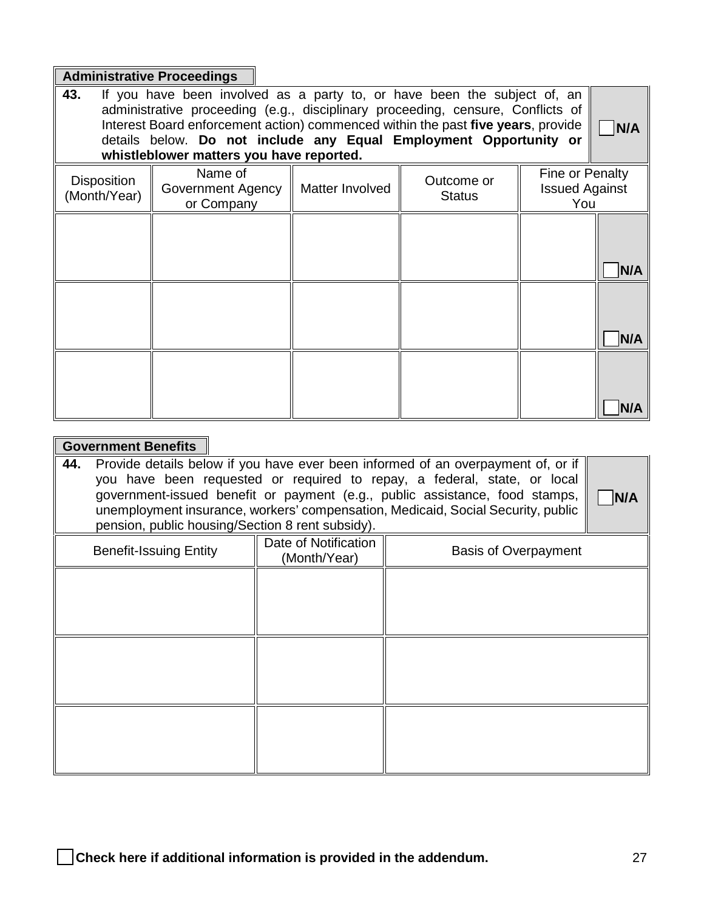### **Administrative Proceedings**

| 43.<br>If you have been involved as a party to, or have been the subject of, an<br>administrative proceeding (e.g., disciplinary proceeding, censure, Conflicts of<br>Interest Board enforcement action) commenced within the past five years, provide<br>details below. Do not include any Equal Employment Opportunity or<br>whistleblower matters you have reported. |                                            |                 |                             |                                                 |
|-------------------------------------------------------------------------------------------------------------------------------------------------------------------------------------------------------------------------------------------------------------------------------------------------------------------------------------------------------------------------|--------------------------------------------|-----------------|-----------------------------|-------------------------------------------------|
| <b>Disposition</b><br>(Month/Year)                                                                                                                                                                                                                                                                                                                                      | Name of<br>Government Agency<br>or Company | Matter Involved | Outcome or<br><b>Status</b> | Fine or Penalty<br><b>Issued Against</b><br>You |
|                                                                                                                                                                                                                                                                                                                                                                         |                                            |                 |                             | N/A                                             |
|                                                                                                                                                                                                                                                                                                                                                                         |                                            |                 |                             | N/A                                             |
|                                                                                                                                                                                                                                                                                                                                                                         |                                            |                 |                             | N/A                                             |

### **Government Benefits**

| 44.<br>Provide details below if you have ever been informed of an overpayment of, or if<br>you have been requested or required to repay, a federal, state, or local<br>government-issued benefit or payment (e.g., public assistance, food stamps,<br>unemployment insurance, workers' compensation, Medicaid, Social Security, public<br>pension, public housing/Section 8 rent subsidy). |                        |                                      |                             |  |
|--------------------------------------------------------------------------------------------------------------------------------------------------------------------------------------------------------------------------------------------------------------------------------------------------------------------------------------------------------------------------------------------|------------------------|--------------------------------------|-----------------------------|--|
|                                                                                                                                                                                                                                                                                                                                                                                            | Benefit-Issuing Entity | Date of Notification<br>(Month/Year) | <b>Basis of Overpayment</b> |  |
|                                                                                                                                                                                                                                                                                                                                                                                            |                        |                                      |                             |  |
|                                                                                                                                                                                                                                                                                                                                                                                            |                        |                                      |                             |  |
|                                                                                                                                                                                                                                                                                                                                                                                            |                        |                                      |                             |  |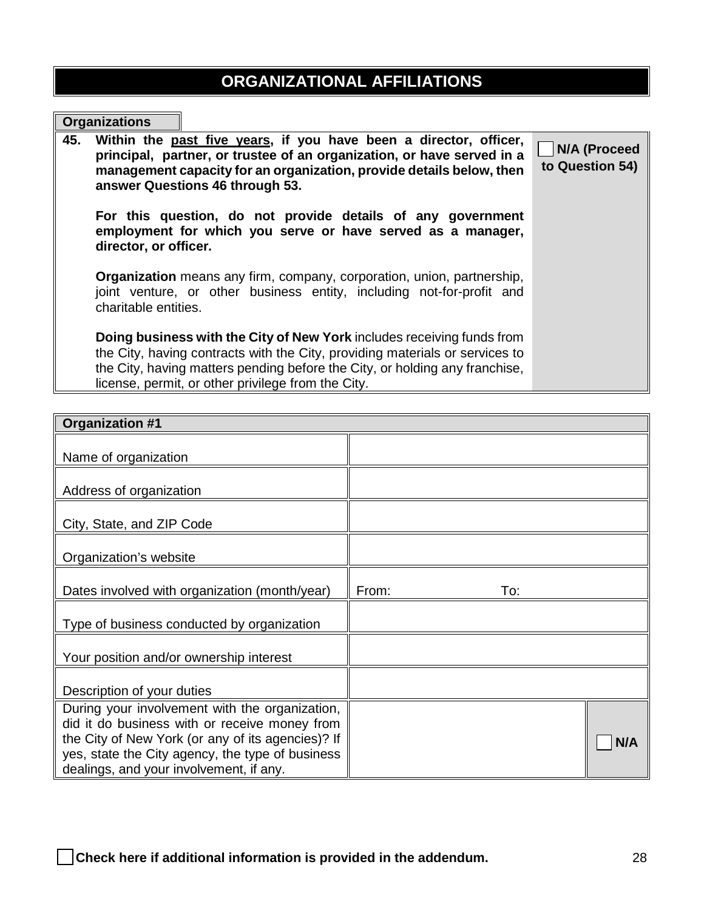# **ORGANIZATIONAL AFFILIATIONS**

## **Organizations**

1

| 45. | Within the past five years, if you have been a director, officer,<br>principal, partner, or trustee of an organization, or have served in a<br>management capacity for an organization, provide details below, then<br>answer Questions 46 through 53.                                      | N/A (Proceed<br>to Question 54) |
|-----|---------------------------------------------------------------------------------------------------------------------------------------------------------------------------------------------------------------------------------------------------------------------------------------------|---------------------------------|
|     | For this question, do not provide details of any government<br>employment for which you serve or have served as a manager,<br>director, or officer.                                                                                                                                         |                                 |
|     | <b>Organization</b> means any firm, company, corporation, union, partnership,<br>joint venture, or other business entity, including not-for-profit and<br>charitable entities.                                                                                                              |                                 |
|     | Doing business with the City of New York includes receiving funds from<br>the City, having contracts with the City, providing materials or services to<br>the City, having matters pending before the City, or holding any franchise,<br>license, permit, or other privilege from the City. |                                 |

| <b>Organization #1</b>                                                                             |              |
|----------------------------------------------------------------------------------------------------|--------------|
| Name of organization                                                                               |              |
| Address of organization                                                                            |              |
| City, State, and ZIP Code                                                                          |              |
| Organization's website                                                                             |              |
| Dates involved with organization (month/year)                                                      | From:<br>To: |
| Type of business conducted by organization                                                         |              |
| Your position and/or ownership interest                                                            |              |
| Description of your duties                                                                         |              |
| During your involvement with the organization,                                                     |              |
| did it do business with or receive money from<br>the City of New York (or any of its agencies)? If |              |
| yes, state the City agency, the type of business                                                   | N/A          |
| dealings, and your involvement, if any.                                                            |              |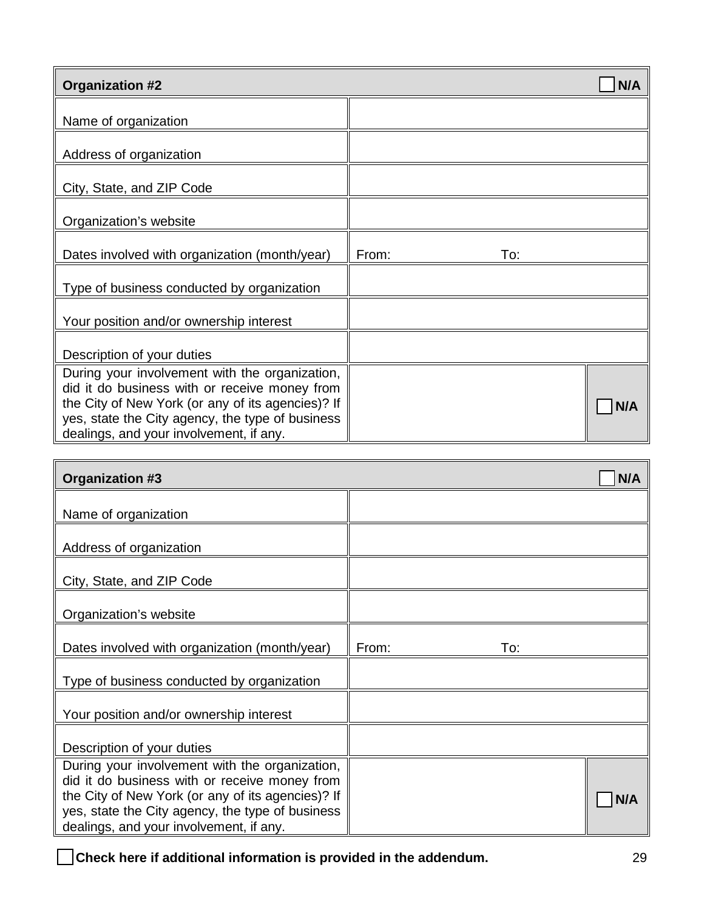| <b>Organization #2</b>                                                                                                                                                                                                                              |              | N/A |
|-----------------------------------------------------------------------------------------------------------------------------------------------------------------------------------------------------------------------------------------------------|--------------|-----|
| Name of organization                                                                                                                                                                                                                                |              |     |
| Address of organization                                                                                                                                                                                                                             |              |     |
| City, State, and ZIP Code                                                                                                                                                                                                                           |              |     |
| Organization's website                                                                                                                                                                                                                              |              |     |
| Dates involved with organization (month/year)                                                                                                                                                                                                       | From:<br>To: |     |
| Type of business conducted by organization                                                                                                                                                                                                          |              |     |
| Your position and/or ownership interest                                                                                                                                                                                                             |              |     |
| Description of your duties                                                                                                                                                                                                                          |              |     |
| During your involvement with the organization,<br>did it do business with or receive money from<br>the City of New York (or any of its agencies)? If<br>yes, state the City agency, the type of business<br>dealings, and your involvement, if any. |              | N/A |

| <b>Organization #3</b>                                                                                                                                                                                                                              |              | N/A |
|-----------------------------------------------------------------------------------------------------------------------------------------------------------------------------------------------------------------------------------------------------|--------------|-----|
| Name of organization                                                                                                                                                                                                                                |              |     |
| Address of organization                                                                                                                                                                                                                             |              |     |
| City, State, and ZIP Code                                                                                                                                                                                                                           |              |     |
| Organization's website                                                                                                                                                                                                                              |              |     |
| Dates involved with organization (month/year)                                                                                                                                                                                                       | From:<br>To: |     |
| Type of business conducted by organization                                                                                                                                                                                                          |              |     |
| Your position and/or ownership interest                                                                                                                                                                                                             |              |     |
| Description of your duties                                                                                                                                                                                                                          |              |     |
| During your involvement with the organization,<br>did it do business with or receive money from<br>the City of New York (or any of its agencies)? If<br>yes, state the City agency, the type of business<br>dealings, and your involvement, if any. |              | N/A |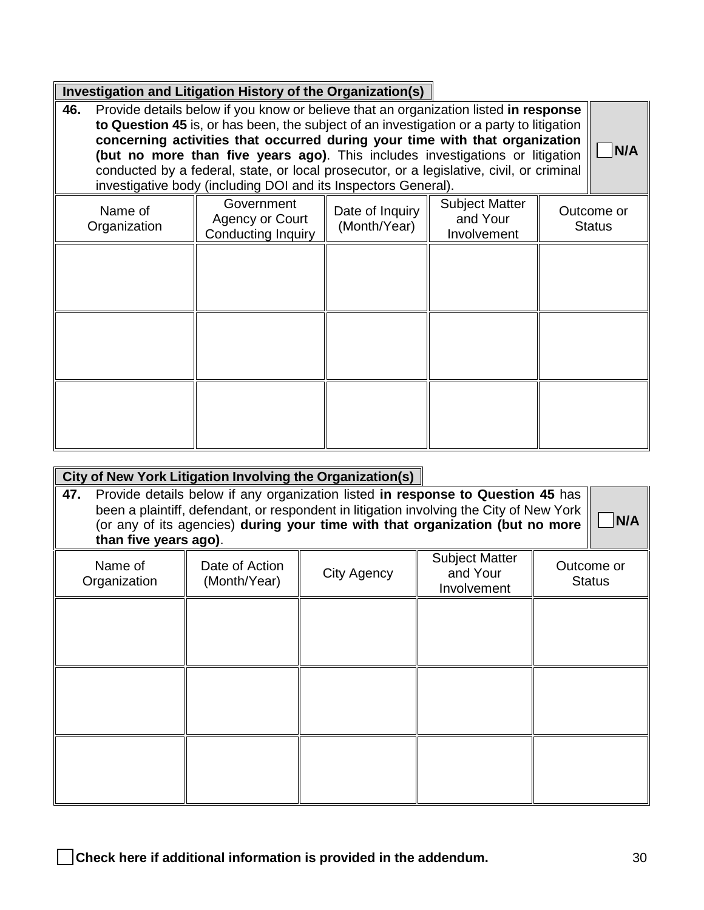|     | Investigation and Litigation History of the Organization(s)                          |                                                                                          |                                 |                                                  |  |                             |  |
|-----|--------------------------------------------------------------------------------------|------------------------------------------------------------------------------------------|---------------------------------|--------------------------------------------------|--|-----------------------------|--|
| 46. | Provide details below if you know or believe that an organization listed in response |                                                                                          |                                 |                                                  |  |                             |  |
|     |                                                                                      | to Question 45 is, or has been, the subject of an investigation or a party to litigation |                                 |                                                  |  |                             |  |
|     |                                                                                      | concerning activities that occurred during your time with that organization              |                                 |                                                  |  |                             |  |
|     |                                                                                      | (but no more than five years ago). This includes investigations or litigation            |                                 |                                                  |  | N/A                         |  |
|     |                                                                                      | conducted by a federal, state, or local prosecutor, or a legislative, civil, or criminal |                                 |                                                  |  |                             |  |
|     |                                                                                      | investigative body (including DOI and its Inspectors General).                           |                                 |                                                  |  |                             |  |
|     | Name of<br>Organization                                                              | Government<br>Agency or Court<br><b>Conducting Inquiry</b>                               | Date of Inquiry<br>(Month/Year) | <b>Subject Matter</b><br>and Your<br>Involvement |  | Outcome or<br><b>Status</b> |  |
|     |                                                                                      |                                                                                          |                                 |                                                  |  |                             |  |
|     |                                                                                      |                                                                                          |                                 |                                                  |  |                             |  |
|     |                                                                                      |                                                                                          |                                 |                                                  |  |                             |  |
|     |                                                                                      |                                                                                          |                                 |                                                  |  |                             |  |
|     |                                                                                      |                                                                                          |                                 |                                                  |  |                             |  |
|     |                                                                                      |                                                                                          |                                 |                                                  |  |                             |  |
|     |                                                                                      |                                                                                          |                                 |                                                  |  |                             |  |
|     |                                                                                      |                                                                                          |                                 |                                                  |  |                             |  |
|     |                                                                                      |                                                                                          |                                 |                                                  |  |                             |  |
|     |                                                                                      |                                                                                          |                                 |                                                  |  |                             |  |
|     |                                                                                      |                                                                                          |                                 |                                                  |  |                             |  |
|     |                                                                                      |                                                                                          |                                 |                                                  |  |                             |  |

| City of New York Litigation Involving the Organization(s)                                                                                                                                                                                                                                   |                                |             |                                                  |                             |
|---------------------------------------------------------------------------------------------------------------------------------------------------------------------------------------------------------------------------------------------------------------------------------------------|--------------------------------|-------------|--------------------------------------------------|-----------------------------|
| Provide details below if any organization listed in response to Question 45 has<br>47.<br>been a plaintiff, defendant, or respondent in litigation involving the City of New York<br>(or any of its agencies) during your time with that organization (but no more<br>than five years ago). |                                |             |                                                  |                             |
| Name of<br>Organization                                                                                                                                                                                                                                                                     | Date of Action<br>(Month/Year) | City Agency | <b>Subject Matter</b><br>and Your<br>Involvement | Outcome or<br><b>Status</b> |
|                                                                                                                                                                                                                                                                                             |                                |             |                                                  |                             |
|                                                                                                                                                                                                                                                                                             |                                |             |                                                  |                             |
|                                                                                                                                                                                                                                                                                             |                                |             |                                                  |                             |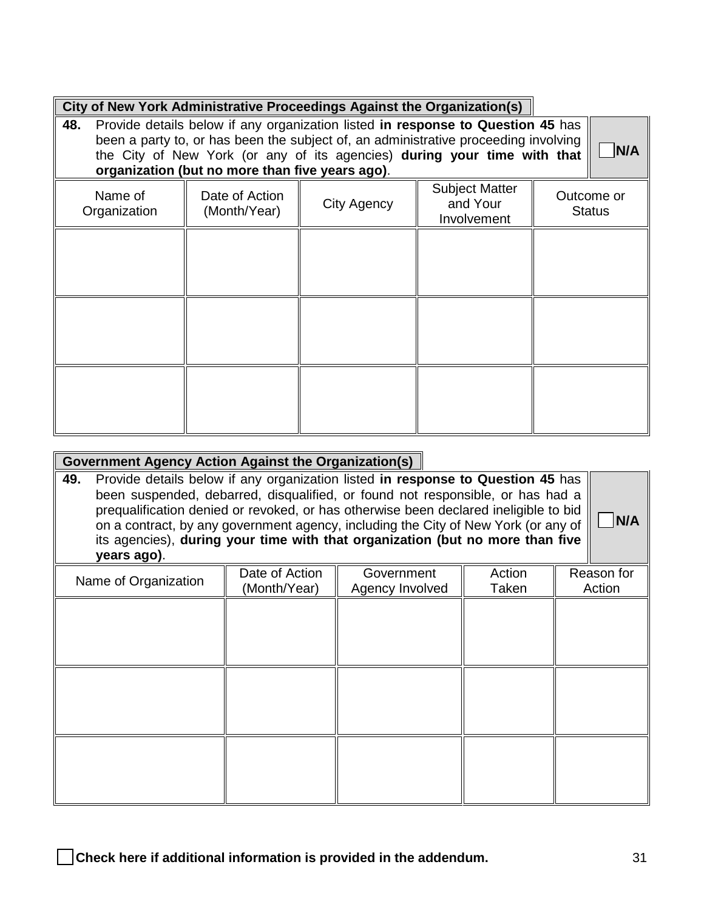| City of New York Administrative Proceedings Against the Organization(s) |  |
|-------------------------------------------------------------------------|--|

| 48.                     |                                                 | Provide details below if any organization listed in response to Question 45 has<br>been a party to, or has been the subject of, an administrative proceeding involving |                                                  | N/A                         |
|-------------------------|-------------------------------------------------|------------------------------------------------------------------------------------------------------------------------------------------------------------------------|--------------------------------------------------|-----------------------------|
|                         | organization (but no more than five years ago). | the City of New York (or any of its agencies) during your time with that                                                                                               |                                                  |                             |
| Name of<br>Organization | Date of Action<br>(Month/Year)                  | City Agency                                                                                                                                                            | <b>Subject Matter</b><br>and Your<br>Involvement | Outcome or<br><b>Status</b> |
|                         |                                                 |                                                                                                                                                                        |                                                  |                             |
|                         |                                                 |                                                                                                                                                                        |                                                  |                             |
|                         |                                                 |                                                                                                                                                                        |                                                  |                             |
|                         |                                                 |                                                                                                                                                                        |                                                  |                             |
|                         |                                                 |                                                                                                                                                                        |                                                  |                             |

#### **Government Agency Action Against the Organization(s)**

**49.** Provide details below if any organization listed **in response to Question 45** has been suspended, debarred, disqualified, or found not responsible, or has had a prequalification denied or revoked, or has otherwise been declared ineligible to bid on a contract, by any government agency, including the City of New York (or any of its agencies), **during your time with that organization (but no more than five years ago)**.

| N/A |
|-----|
|     |

| Name of Organization | Date of Action<br>(Month/Year) | Government<br>Agency Involved | Action<br>Taken | Reason for<br>Action |
|----------------------|--------------------------------|-------------------------------|-----------------|----------------------|
|                      |                                |                               |                 |                      |
|                      |                                |                               |                 |                      |
|                      |                                |                               |                 |                      |
|                      |                                |                               |                 |                      |
|                      |                                |                               |                 |                      |
|                      |                                |                               |                 |                      |
|                      |                                |                               |                 |                      |
|                      |                                |                               |                 |                      |
|                      |                                |                               |                 |                      |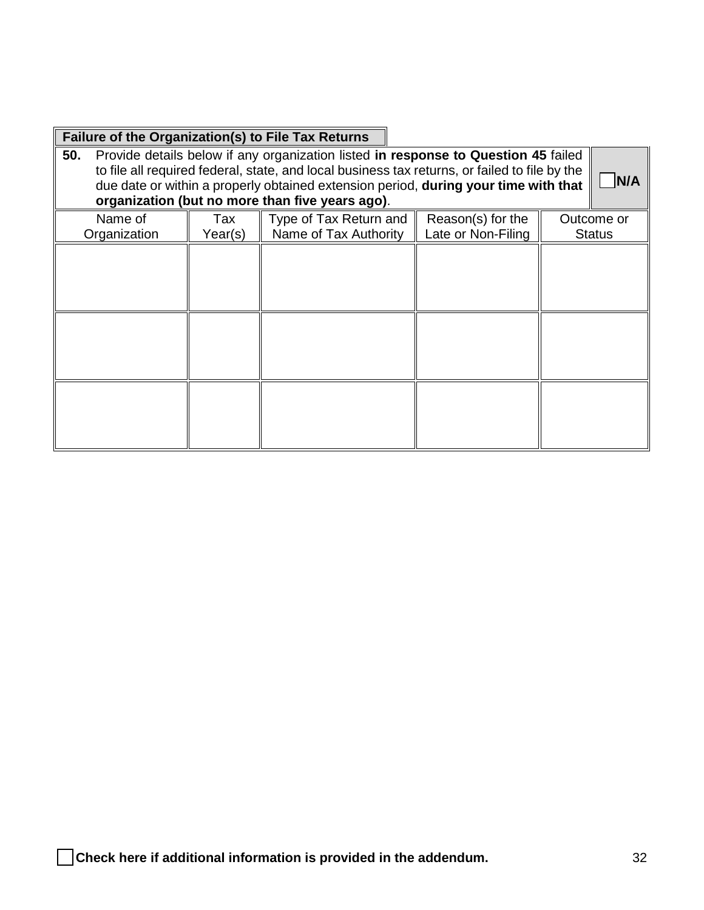| <b>Failure of the Organization(s) to File Tax Returns</b> |                |                                                                                                                                                                                                                                                                                                                               |                                         |                             |
|-----------------------------------------------------------|----------------|-------------------------------------------------------------------------------------------------------------------------------------------------------------------------------------------------------------------------------------------------------------------------------------------------------------------------------|-----------------------------------------|-----------------------------|
| 50.                                                       |                | Provide details below if any organization listed in response to Question 45 failed<br>to file all required federal, state, and local business tax returns, or failed to file by the<br>due date or within a properly obtained extension period, during your time with that<br>organization (but no more than five years ago). |                                         | N/A                         |
| Name of<br>Organization                                   | Tax<br>Year(s) | Type of Tax Return and<br>Name of Tax Authority                                                                                                                                                                                                                                                                               | Reason(s) for the<br>Late or Non-Filing | Outcome or<br><b>Status</b> |
|                                                           |                |                                                                                                                                                                                                                                                                                                                               |                                         |                             |
|                                                           |                |                                                                                                                                                                                                                                                                                                                               |                                         |                             |

ä,

r.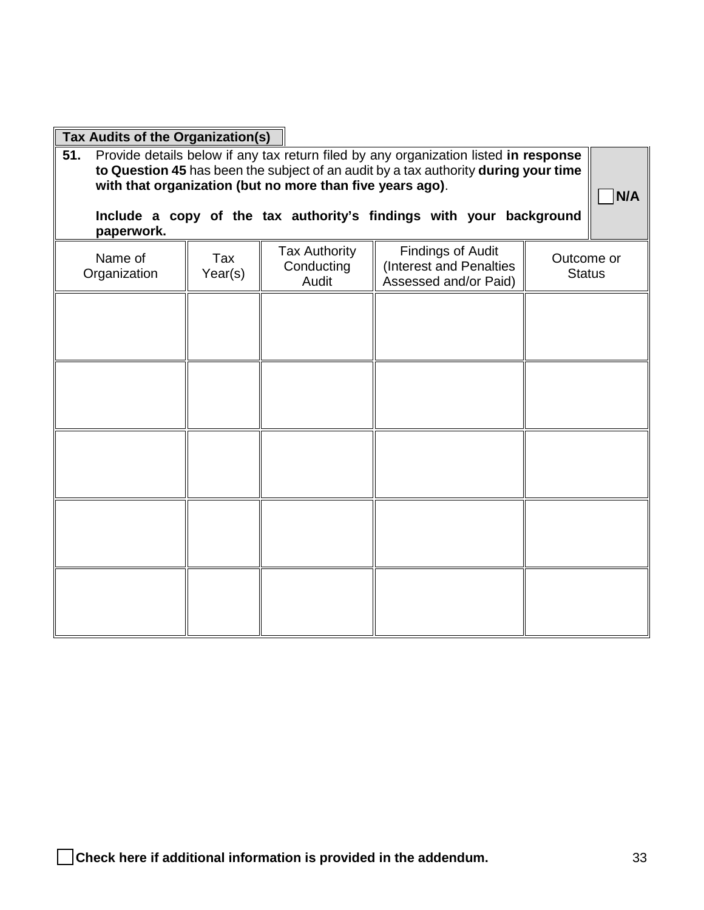| Tax Audits of the Organization(s) |         |                                                           |                                                                                      |               |
|-----------------------------------|---------|-----------------------------------------------------------|--------------------------------------------------------------------------------------|---------------|
| 51.                               |         |                                                           | Provide details below if any tax return filed by any organization listed in response |               |
|                                   |         | with that organization (but no more than five years ago). | to Question 45 has been the subject of an audit by a tax authority during your time  |               |
|                                   |         |                                                           |                                                                                      | N/A           |
|                                   |         |                                                           | Include a copy of the tax authority's findings with your background                  |               |
| paperwork.                        |         |                                                           |                                                                                      |               |
| Name of                           | Tax     | <b>Tax Authority</b>                                      | <b>Findings of Audit</b>                                                             | Outcome or    |
| Organization                      | Year(s) | Conducting<br>Audit                                       | (Interest and Penalties<br>Assessed and/or Paid)                                     | <b>Status</b> |
|                                   |         |                                                           |                                                                                      |               |
|                                   |         |                                                           |                                                                                      |               |
|                                   |         |                                                           |                                                                                      |               |
|                                   |         |                                                           |                                                                                      |               |
|                                   |         |                                                           |                                                                                      |               |
|                                   |         |                                                           |                                                                                      |               |
|                                   |         |                                                           |                                                                                      |               |
|                                   |         |                                                           |                                                                                      |               |
|                                   |         |                                                           |                                                                                      |               |
|                                   |         |                                                           |                                                                                      |               |
|                                   |         |                                                           |                                                                                      |               |
|                                   |         |                                                           |                                                                                      |               |
|                                   |         |                                                           |                                                                                      |               |
|                                   |         |                                                           |                                                                                      |               |
|                                   |         |                                                           |                                                                                      |               |
|                                   |         |                                                           |                                                                                      |               |
|                                   |         |                                                           |                                                                                      |               |
|                                   |         |                                                           |                                                                                      |               |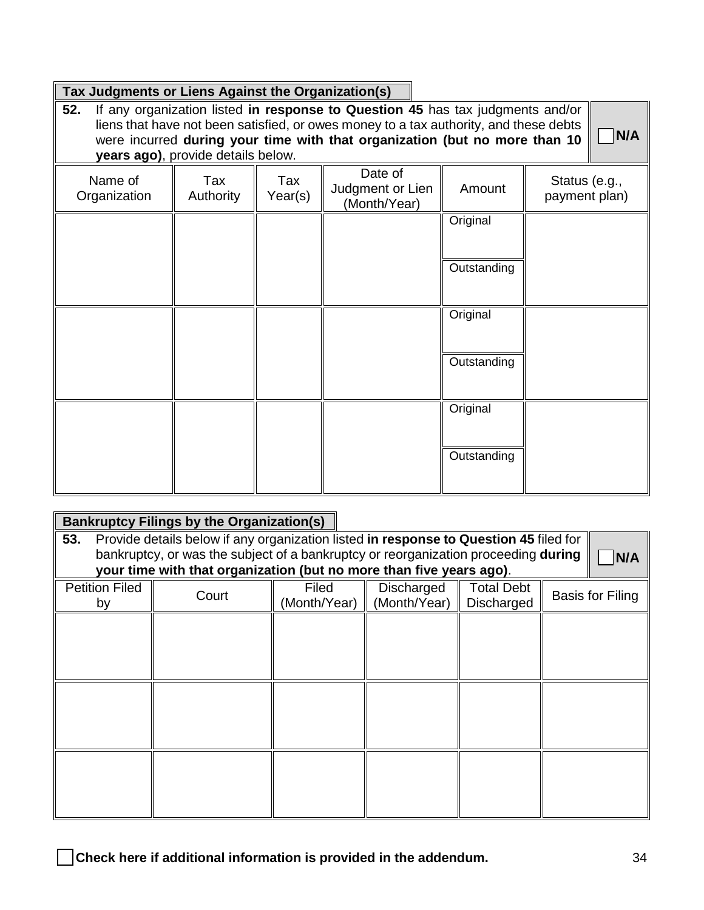#### **Tax Judgments or Liens Against the Organization(s)**

**52.** If any organization listed **in response to Question 45** has tax judgments and/or liens that have not been satisfied, or owes money to a tax authority, and these debts were incurred **during your time with that organization (but no more than 10 years ago)**, provide details below.

□ **N/A**

| $9$ care age), provide detaile below. |                  |                |                                             |             |                                |  |  |  |  |
|---------------------------------------|------------------|----------------|---------------------------------------------|-------------|--------------------------------|--|--|--|--|
| Name of<br>Organization               | Tax<br>Authority | Tax<br>Year(s) | Date of<br>Judgment or Lien<br>(Month/Year) | Amount      | Status (e.g.,<br>payment plan) |  |  |  |  |
|                                       |                  |                |                                             | Original    |                                |  |  |  |  |
|                                       |                  |                |                                             | Outstanding |                                |  |  |  |  |
|                                       |                  |                |                                             | Original    |                                |  |  |  |  |
|                                       |                  |                |                                             | Outstanding |                                |  |  |  |  |
|                                       |                  |                |                                             | Original    |                                |  |  |  |  |
|                                       |                  |                |                                             | Outstanding |                                |  |  |  |  |

|                                                                                    | <b>Bankruptcy Filings by the Organization(s)</b>                                      |              |              |                   |                  |  |  |  |
|------------------------------------------------------------------------------------|---------------------------------------------------------------------------------------|--------------|--------------|-------------------|------------------|--|--|--|
| 53.                                                                                | Provide details below if any organization listed in response to Question 45 filed for |              |              |                   |                  |  |  |  |
| bankruptcy, or was the subject of a bankruptcy or reorganization proceeding during |                                                                                       |              |              |                   |                  |  |  |  |
|                                                                                    | your time with that organization (but no more than five years ago).                   |              |              |                   | N/A              |  |  |  |
| <b>Petition Filed</b>                                                              | Court                                                                                 | Filed        | Discharged   | <b>Total Debt</b> | Basis for Filing |  |  |  |
| by                                                                                 |                                                                                       | (Month/Year) | (Month/Year) | Discharged        |                  |  |  |  |
|                                                                                    |                                                                                       |              |              |                   |                  |  |  |  |
|                                                                                    |                                                                                       |              |              |                   |                  |  |  |  |
|                                                                                    |                                                                                       |              |              |                   |                  |  |  |  |
|                                                                                    |                                                                                       |              |              |                   |                  |  |  |  |
|                                                                                    |                                                                                       |              |              |                   |                  |  |  |  |
|                                                                                    |                                                                                       |              |              |                   |                  |  |  |  |
|                                                                                    |                                                                                       |              |              |                   |                  |  |  |  |
|                                                                                    |                                                                                       |              |              |                   |                  |  |  |  |
|                                                                                    |                                                                                       |              |              |                   |                  |  |  |  |
|                                                                                    |                                                                                       |              |              |                   |                  |  |  |  |
|                                                                                    |                                                                                       |              |              |                   |                  |  |  |  |
|                                                                                    |                                                                                       |              |              |                   |                  |  |  |  |
|                                                                                    |                                                                                       |              |              |                   |                  |  |  |  |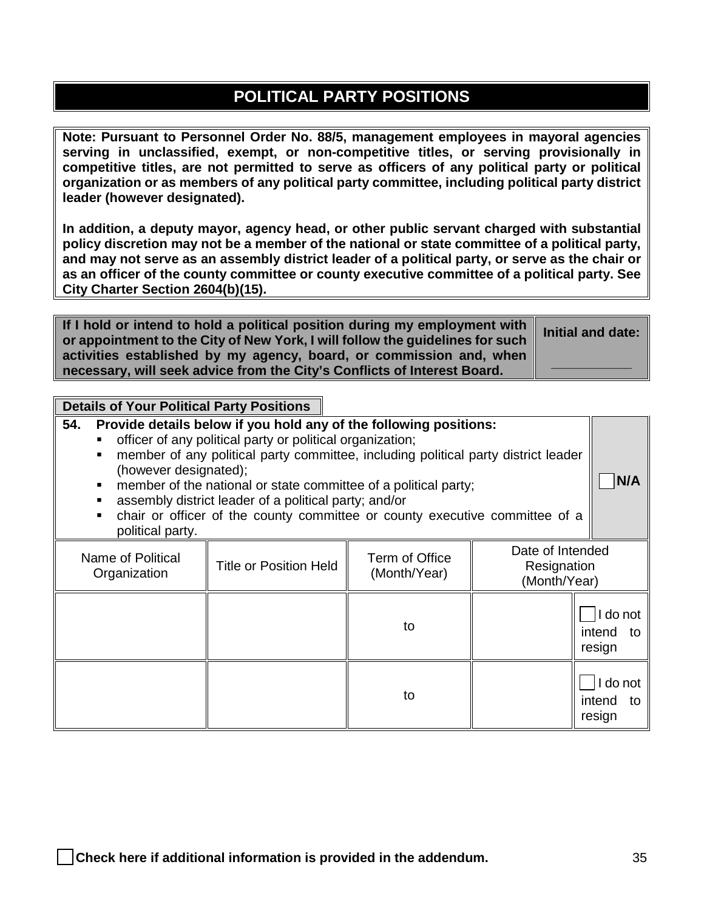## **POLITICAL PARTY POSITIONS**

**Note: Pursuant to Personnel Order No. 88/5, management employees in mayoral agencies serving in unclassified, exempt, or non-competitive titles, or serving provisionally in competitive titles, are not permitted to serve as officers of any political party or political organization or as members of any political party committee, including political party district leader (however designated).** 

**In addition, a deputy mayor, agency head, or other public servant charged with substantial policy discretion may not be a member of the national or state committee of a political party, and may not serve as an assembly district leader of a political party, or serve as the chair or as an officer of the county committee or county executive committee of a political party. See City Charter Section 2604(b)(15).**

**If I hold or intend to hold a political position during my employment with or appointment to the City of New York, I will follow the guidelines for such activities established by my agency, board, or commission and, when necessary, will seek advice from the City's Conflicts of Interest Board.**

**Initial and date:**

**\_\_\_\_\_\_\_\_\_\_\_**

#### **Details of Your Political Party Positions**

| 54.<br>(however designated);<br>п<br>п<br>$\blacksquare$<br>political party. | Provide details below if you hold any of the following positions:<br>officer of any political party or political organization;<br>member of any political party committee, including political party district leader<br>member of the national or state committee of a political party;<br>assembly district leader of a political party; and/or<br>chair or officer of the county committee or county executive committee of a |    |  | N/A                                |
|------------------------------------------------------------------------------|---------------------------------------------------------------------------------------------------------------------------------------------------------------------------------------------------------------------------------------------------------------------------------------------------------------------------------------------------------------------------------------------------------------------------------|----|--|------------------------------------|
| Name of Political<br>Organization                                            | Date of Intended<br>Resignation<br>(Month/Year)                                                                                                                                                                                                                                                                                                                                                                                 |    |  |                                    |
|                                                                              |                                                                                                                                                                                                                                                                                                                                                                                                                                 | to |  | I do not<br>intend<br>to<br>resign |
|                                                                              |                                                                                                                                                                                                                                                                                                                                                                                                                                 | to |  | I do not<br>intend<br>to<br>resign |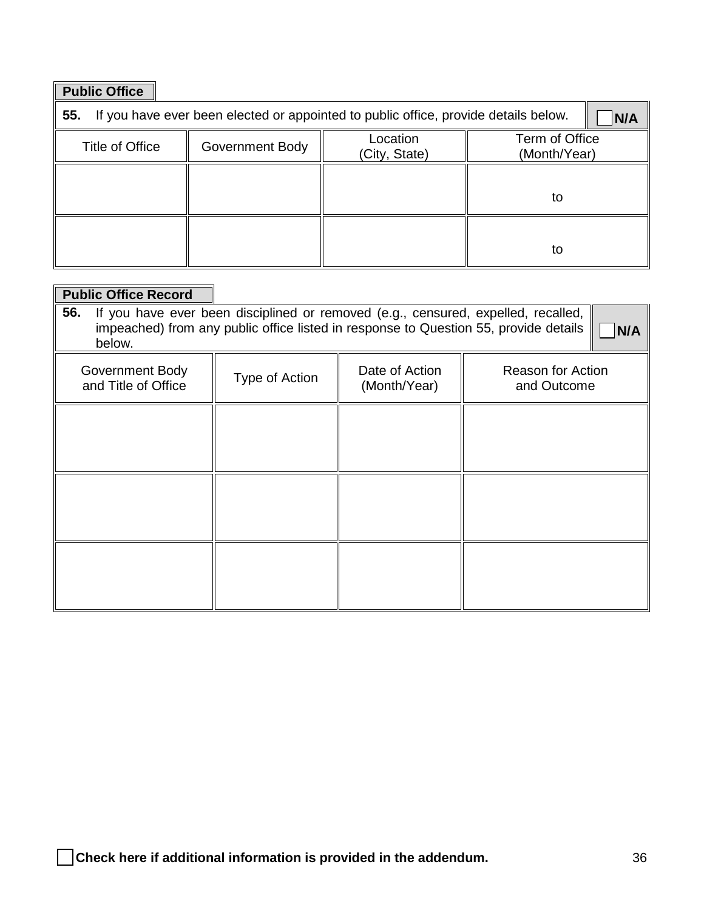| <b>Public Office</b> |                 |                                                                                     |     |  |
|----------------------|-----------------|-------------------------------------------------------------------------------------|-----|--|
| 55.                  |                 | If you have ever been elected or appointed to public office, provide details below. | N/A |  |
| Title of Office      | Government Body | Term of Office<br>(Month/Year)                                                      |     |  |
|                      |                 |                                                                                     | to  |  |
|                      |                 |                                                                                     | to  |  |

| <b>Public Office Record</b>            |                |                                |                                                                                                                                                                           |     |
|----------------------------------------|----------------|--------------------------------|---------------------------------------------------------------------------------------------------------------------------------------------------------------------------|-----|
| 56.<br>below.                          |                |                                | If you have ever been disciplined or removed (e.g., censured, expelled, recalled,<br>impeached) from any public office listed in response to Question 55, provide details | N/A |
| Government Body<br>and Title of Office | Type of Action | Date of Action<br>(Month/Year) | <b>Reason for Action</b><br>and Outcome                                                                                                                                   |     |
|                                        |                |                                |                                                                                                                                                                           |     |
|                                        |                |                                |                                                                                                                                                                           |     |
|                                        |                |                                |                                                                                                                                                                           |     |
|                                        |                |                                |                                                                                                                                                                           |     |
|                                        |                |                                |                                                                                                                                                                           |     |
|                                        |                |                                |                                                                                                                                                                           |     |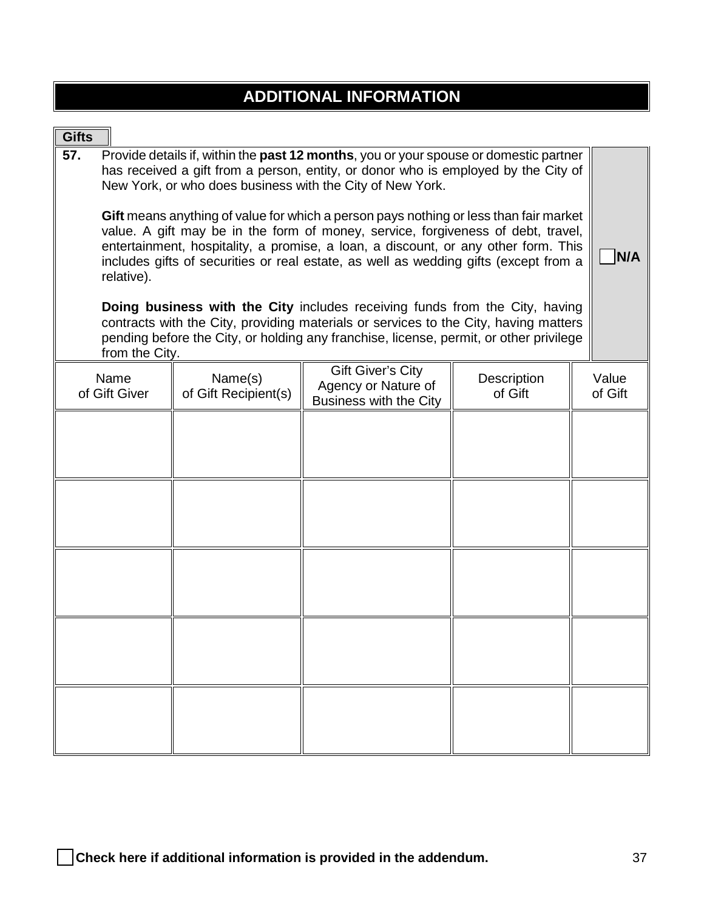|  |  |  |  |  | <b>ADDITIONAL INFORMATION</b> |  |
|--|--|--|--|--|-------------------------------|--|
|  |  |  |  |  |                               |  |

| <b>Gifts</b>                                                                                                                                                                                                                                                                                                                                                                                                                                                                                                                                                                                                                                                                                                                                                                                                                                                                                     |                                 |                                                      |                        |                  |     |
|--------------------------------------------------------------------------------------------------------------------------------------------------------------------------------------------------------------------------------------------------------------------------------------------------------------------------------------------------------------------------------------------------------------------------------------------------------------------------------------------------------------------------------------------------------------------------------------------------------------------------------------------------------------------------------------------------------------------------------------------------------------------------------------------------------------------------------------------------------------------------------------------------|---------------------------------|------------------------------------------------------|------------------------|------------------|-----|
| Provide details if, within the past 12 months, you or your spouse or domestic partner<br>57.<br>has received a gift from a person, entity, or donor who is employed by the City of<br>New York, or who does business with the City of New York.<br>Gift means anything of value for which a person pays nothing or less than fair market<br>value. A gift may be in the form of money, service, forgiveness of debt, travel,<br>entertainment, hospitality, a promise, a loan, a discount, or any other form. This<br>includes gifts of securities or real estate, as well as wedding gifts (except from a<br>relative).<br><b>Doing business with the City includes receiving funds from the City, having</b><br>contracts with the City, providing materials or services to the City, having matters<br>pending before the City, or holding any franchise, license, permit, or other privilege |                                 |                                                      |                        |                  | N/A |
| from the City.                                                                                                                                                                                                                                                                                                                                                                                                                                                                                                                                                                                                                                                                                                                                                                                                                                                                                   |                                 | <b>Gift Giver's City</b>                             |                        |                  |     |
| Name<br>of Gift Giver                                                                                                                                                                                                                                                                                                                                                                                                                                                                                                                                                                                                                                                                                                                                                                                                                                                                            | Name(s)<br>of Gift Recipient(s) | Agency or Nature of<br><b>Business with the City</b> | Description<br>of Gift | Value<br>of Gift |     |
|                                                                                                                                                                                                                                                                                                                                                                                                                                                                                                                                                                                                                                                                                                                                                                                                                                                                                                  |                                 |                                                      |                        |                  |     |
|                                                                                                                                                                                                                                                                                                                                                                                                                                                                                                                                                                                                                                                                                                                                                                                                                                                                                                  |                                 |                                                      |                        |                  |     |
|                                                                                                                                                                                                                                                                                                                                                                                                                                                                                                                                                                                                                                                                                                                                                                                                                                                                                                  |                                 |                                                      |                        |                  |     |
|                                                                                                                                                                                                                                                                                                                                                                                                                                                                                                                                                                                                                                                                                                                                                                                                                                                                                                  |                                 |                                                      |                        |                  |     |
|                                                                                                                                                                                                                                                                                                                                                                                                                                                                                                                                                                                                                                                                                                                                                                                                                                                                                                  |                                 |                                                      |                        |                  |     |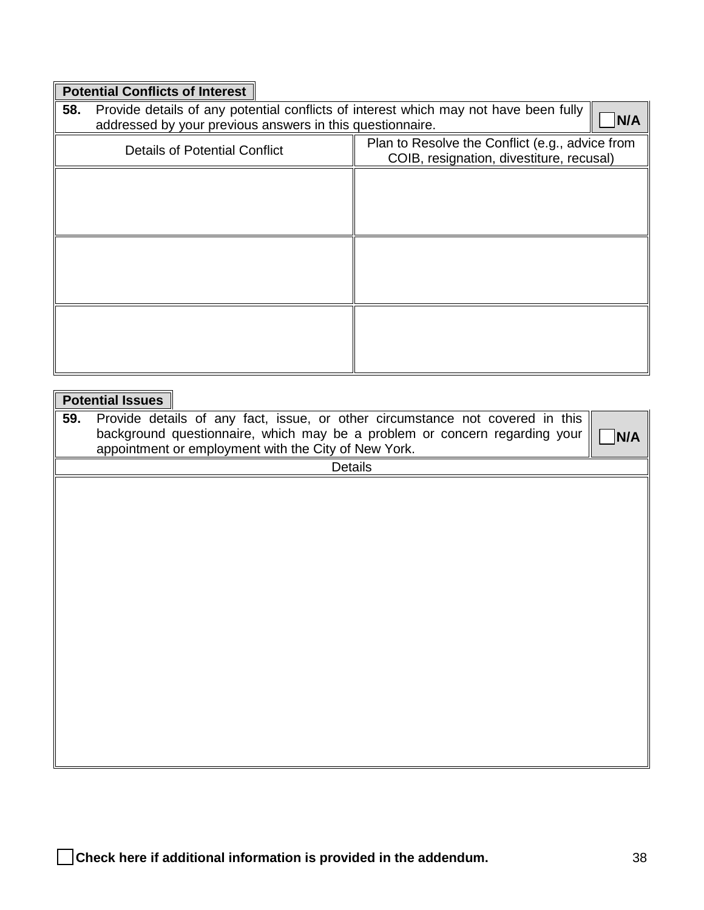## **Potential Conflicts of Interest**

| 58. | Provide details of any potential conflicts of interest which may not have been fully<br>addressed by your previous answers in this questionnaire. |                                                                                             |
|-----|---------------------------------------------------------------------------------------------------------------------------------------------------|---------------------------------------------------------------------------------------------|
|     | <b>Details of Potential Conflict</b>                                                                                                              | Plan to Resolve the Conflict (e.g., advice from<br>COIB, resignation, divestiture, recusal) |
|     |                                                                                                                                                   |                                                                                             |
|     |                                                                                                                                                   |                                                                                             |
|     |                                                                                                                                                   |                                                                                             |
|     |                                                                                                                                                   |                                                                                             |
|     |                                                                                                                                                   |                                                                                             |
|     |                                                                                                                                                   |                                                                                             |

|     | <b>Potential Issues</b>                                                             |
|-----|-------------------------------------------------------------------------------------|
| 59. | Provide details of any fact, issue, or other circumstance not covered in this       |
|     | background questionnaire, which may be a problem or concern regarding your  <br>N/A |
|     | appointment or employment with the City of New York.                                |
|     | <b>Details</b>                                                                      |
|     |                                                                                     |
|     |                                                                                     |
|     |                                                                                     |
|     |                                                                                     |
|     |                                                                                     |
|     |                                                                                     |
|     |                                                                                     |
|     |                                                                                     |
|     |                                                                                     |
|     |                                                                                     |
|     |                                                                                     |
|     |                                                                                     |
|     |                                                                                     |
|     |                                                                                     |
|     |                                                                                     |
|     |                                                                                     |
|     |                                                                                     |
|     |                                                                                     |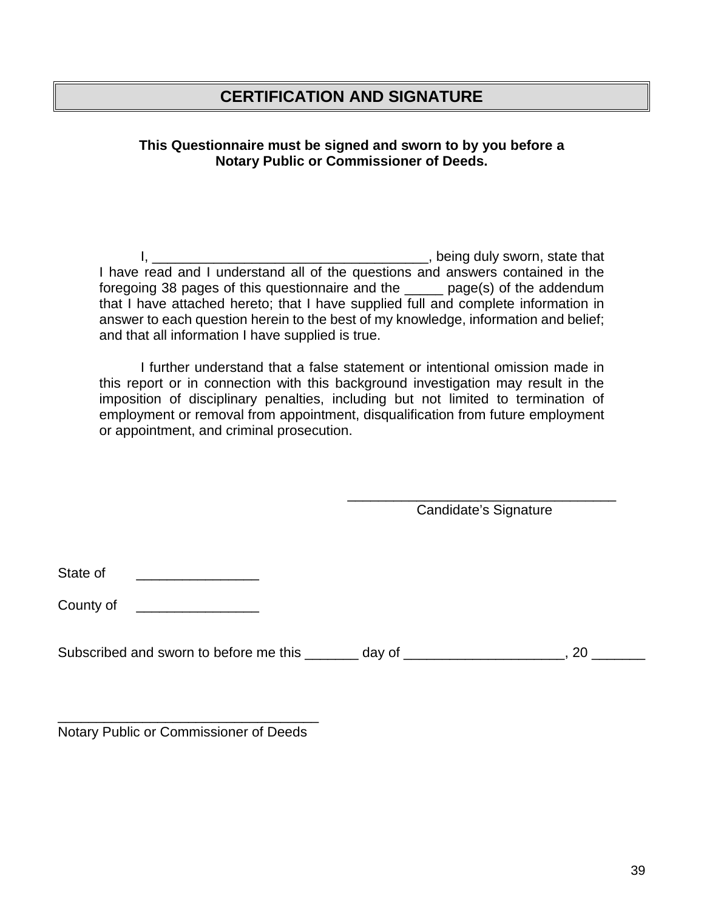### **CERTIFICATION AND SIGNATURE**

**This Questionnaire must be signed and sworn to by you before a Notary Public or Commissioner of Deeds.** 

I, \_\_\_\_\_\_\_\_\_\_\_\_\_\_\_\_\_\_\_\_\_\_\_\_\_\_\_\_\_\_\_\_\_\_\_\_, being duly sworn, state that I have read and I understand all of the questions and answers contained in the foregoing 38 pages of this questionnaire and the \_\_\_\_\_ page(s) of the addendum that I have attached hereto; that I have supplied full and complete information in answer to each question herein to the best of my knowledge, information and belief; and that all information I have supplied is true.

I further understand that a false statement or intentional omission made in this report or in connection with this background investigation may result in the imposition of disciplinary penalties, including but not limited to termination of employment or removal from appointment, disqualification from future employment or appointment, and criminal prosecution.

 $\overline{\phantom{a}}$  , which is a set of the set of the set of the set of the set of the set of the set of the set of the set of the set of the set of the set of the set of the set of the set of the set of the set of the set of th Candidate's Signature

State of \_\_\_\_\_\_\_\_\_\_\_\_\_\_\_\_

County of \_\_\_\_\_\_\_\_\_\_\_\_\_\_\_\_\_\_\_\_

Subscribed and sworn to before me this \_\_\_\_\_\_\_ day of \_\_\_\_\_\_\_\_\_\_\_\_\_\_\_\_\_\_\_\_\_\_, 20 \_\_\_\_\_\_\_

\_\_\_\_\_\_\_\_\_\_\_\_\_\_\_\_\_\_\_\_\_\_\_\_\_\_\_\_\_\_\_\_\_\_ Notary Public or Commissioner of Deeds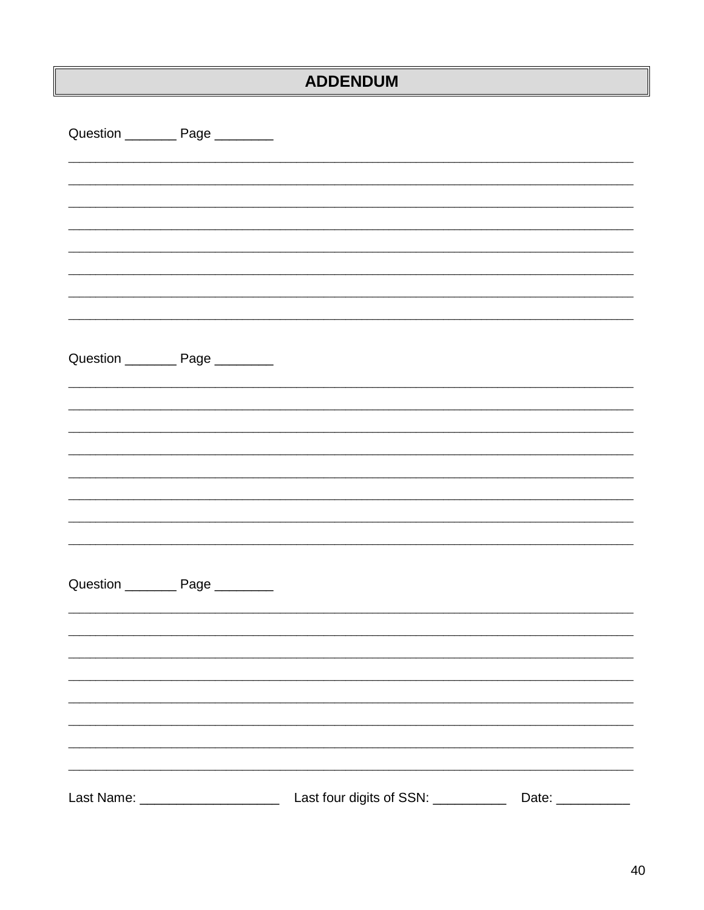# **ADDENDUM**

|            | Question ___________ Page _________   |                          |       |
|------------|---------------------------------------|--------------------------|-------|
|            |                                       |                          |       |
|            |                                       |                          |       |
|            |                                       |                          |       |
|            |                                       |                          |       |
|            |                                       |                          |       |
|            |                                       |                          |       |
|            |                                       |                          |       |
|            | Question ____________ Page __________ |                          |       |
|            |                                       |                          |       |
|            |                                       |                          |       |
|            |                                       |                          |       |
|            |                                       |                          |       |
|            |                                       |                          |       |
|            |                                       |                          |       |
|            |                                       |                          |       |
|            | Question ____________ Page _________  |                          |       |
|            |                                       |                          |       |
|            |                                       |                          |       |
|            |                                       |                          |       |
|            |                                       |                          |       |
|            |                                       |                          |       |
|            |                                       |                          |       |
| Last Name: |                                       | Last four digits of SSN: | Date: |